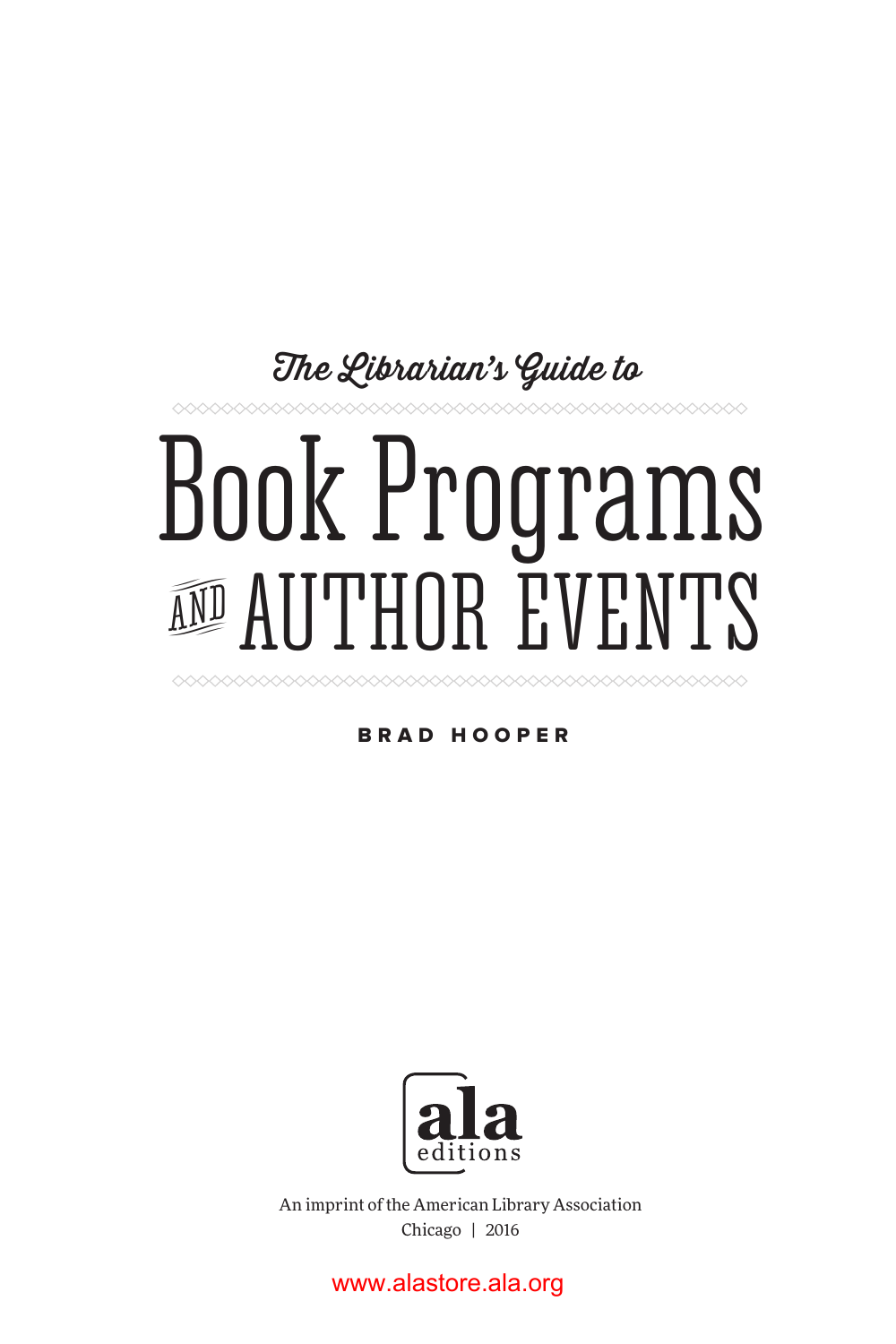# The Librarian's Guide to

000000000

# Book Programs **MAUTHOR EVENTS**

#### BRAD HOOPER



An imprint of the American Library Association Chicago | 2016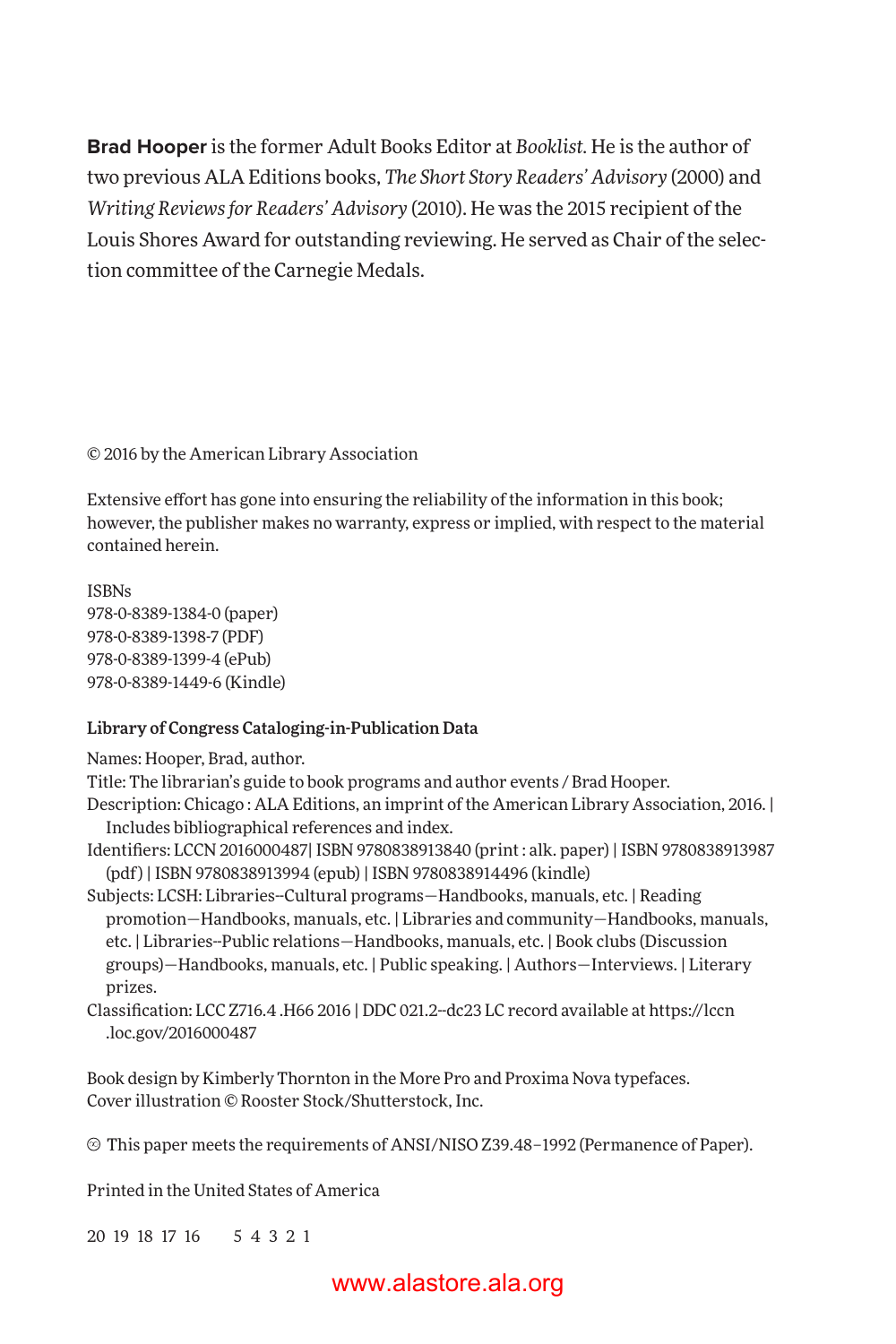**Brad Hooper** is the former Adult Books Editor at *Booklist.* He is the author of two previous ALA Editions books, *The Short Story Readers' Advisory* (2000) and *Writing Reviews for Readers' Advisory* (2010). He was the 2015 recipient of the Louis Shores Award for outstanding reviewing. He served as Chair of the selection committee of the Carnegie Medals.

© 2016 by the American Library Association

Extensive effort has gone into ensuring the reliability of the information in this book; however, the publisher makes no warranty, express or implied, with respect to the material contained herein.

ISBNs 978-0-8389-1384-0 (paper) 978-0-8389-1398-7 (PDF) 978-0-8389-1399-4 (ePub) 978-0-8389-1449-6 (Kindle)

#### Library of Congress Cataloging-in-Publication Data

Names: Hooper, Brad, author.

Title: The librarian's guide to book programs and author events / Brad Hooper.

Description: Chicago : ALA Editions, an imprint of the American Library Association, 2016. | Includes bibliographical references and index.

Identifiers: LCCN 2016000487| ISBN 9780838913840 (print : alk. paper) | ISBN 9780838913987 (pdf ) | ISBN 9780838913994 (epub) | ISBN 9780838914496 (kindle)

Subjects: LCSH: Libraries--Cultural programs—Handbooks, manuals, etc. | Reading promotion—Handbooks, manuals, etc. | Libraries and community—Handbooks, manuals, etc. | Libraries--Public relations—Handbooks, manuals, etc. | Book clubs (Discussion groups)—Handbooks, manuals, etc. | Public speaking. | Authors—Interviews. | Literary prizes.

Classification: LCC Z716.4 .H66 2016 | DDC 021.2--dc23 LC record available at https://lccn .loc.gov/2016000487

Book design by Kimberly Thornton in the More Pro and Proxima Nova typefaces. Cover illustration © Rooster Stock/Shutterstock, Inc.

This paper meets the requirements of ANSI/NISO Z39.48–1992 (Permanence of Paper).

Printed in the United States of America

20 19 18 17 16 5 4 3 2 1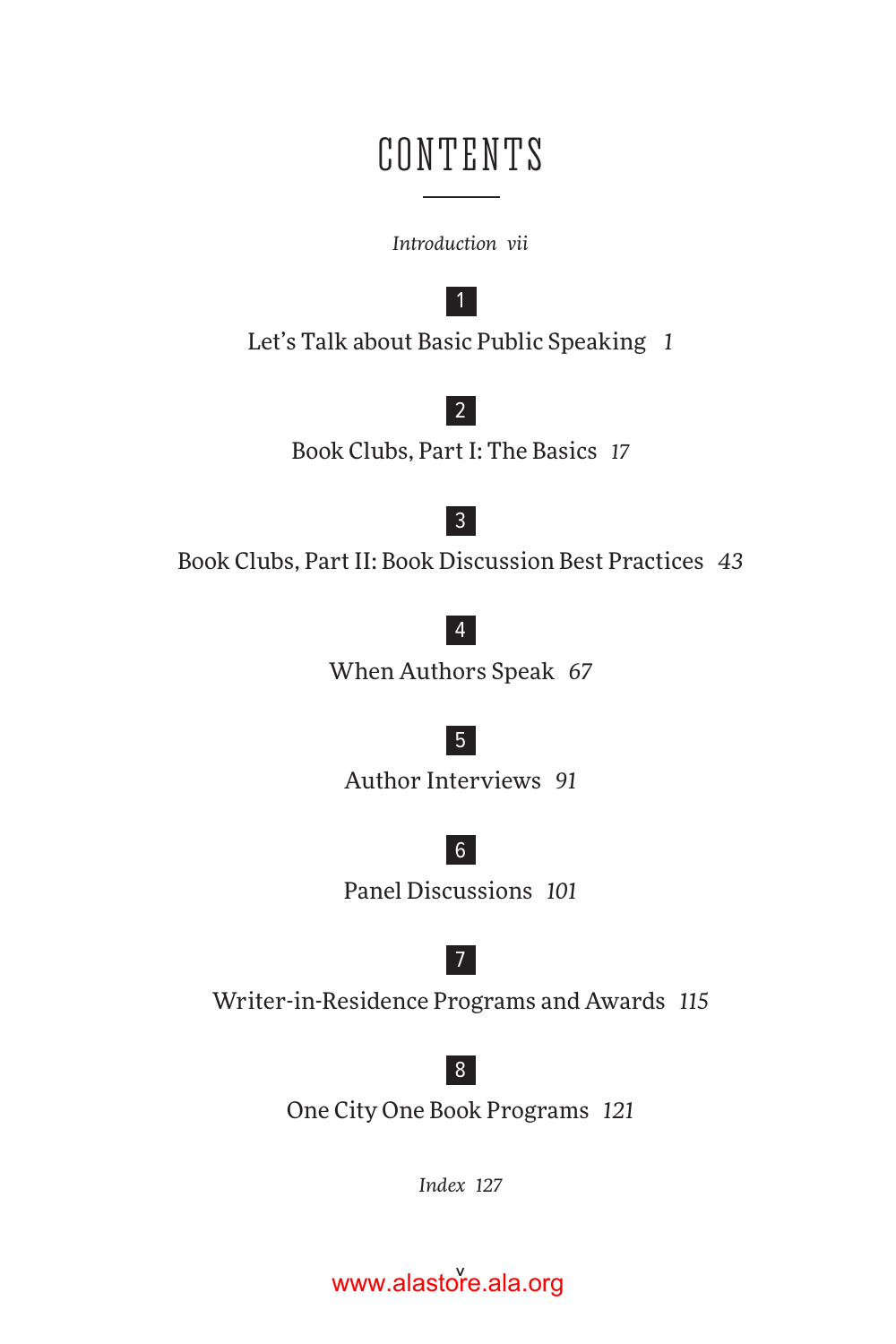# CONTENTS

*Introduction vii*



Let's Talk about Basic Public Speaking *1*

# 2

Book Clubs, Part I: The Basics *17*

## 3

Book Clubs, Part II: Book Discussion Best Practices *43*

## 4

When Authors Speak *67*

### 5

Author Interviews *91*

## 6

Panel Discussions *101*

# 7

Writer-in-Residence Programs and Awards *115*

8

One City One Book Programs *121*

*Index 127*

www.alastor<sup>e</sup>.ala.org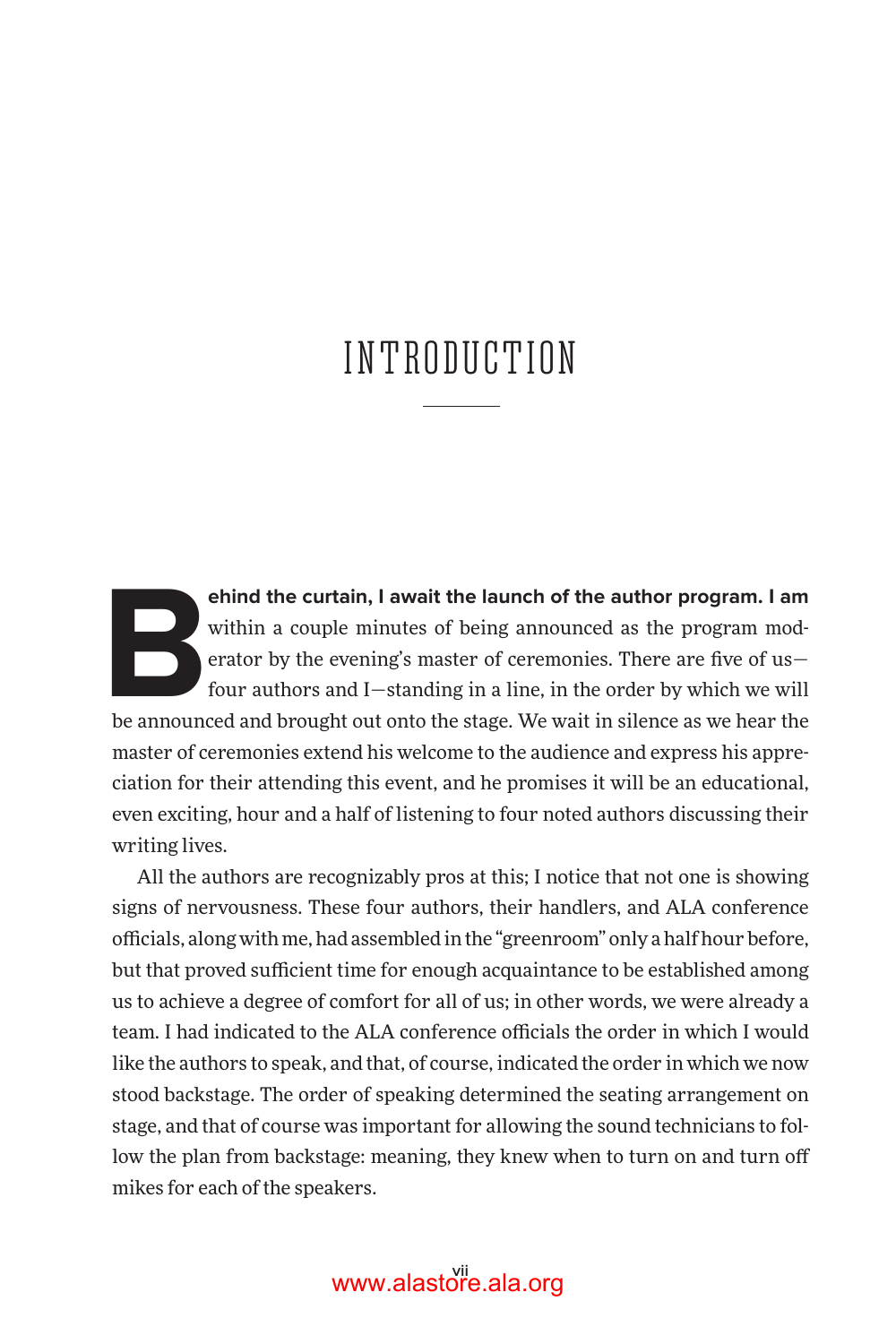# INTRODUCTION

**Behind the curtain, I await the launch of the author program. I am** within a couple minutes of being announced as the program moderator by the evening's master of ceremonies. There are five of us—four authors and I—standi within a couple minutes of being announced as the program moderator by the evening's master of ceremonies. There are five of us four authors and I—standing in a line, in the order by which we will be announced and brought out onto the stage. We wait in silence as we hear the master of ceremonies extend his welcome to the audience and express his appreciation for their attending this event, and he promises it will be an educational, even exciting, hour and a half of listening to four noted authors discussing their writing lives.

All the authors are recognizably pros at this; I notice that not one is showing signs of nervousness. These four authors, their handlers, and ALA conference officials, along with me, had assembled in the "greenroom" only a half hour before, but that proved sufficient time for enough acquaintance to be established among us to achieve a degree of comfort for all of us; in other words, we were already a team. I had indicated to the ALA conference officials the order in which I would like the authors to speak, and that, of course, indicated the order in which we now stood backstage. The order of speaking determined the seating arrangement on stage, and that of course was important for allowing the sound technicians to follow the plan from backstage: meaning, they knew when to turn on and turn off mikes for each of the speakers.

# www.alasto<sup>rij</sup>e.ala.org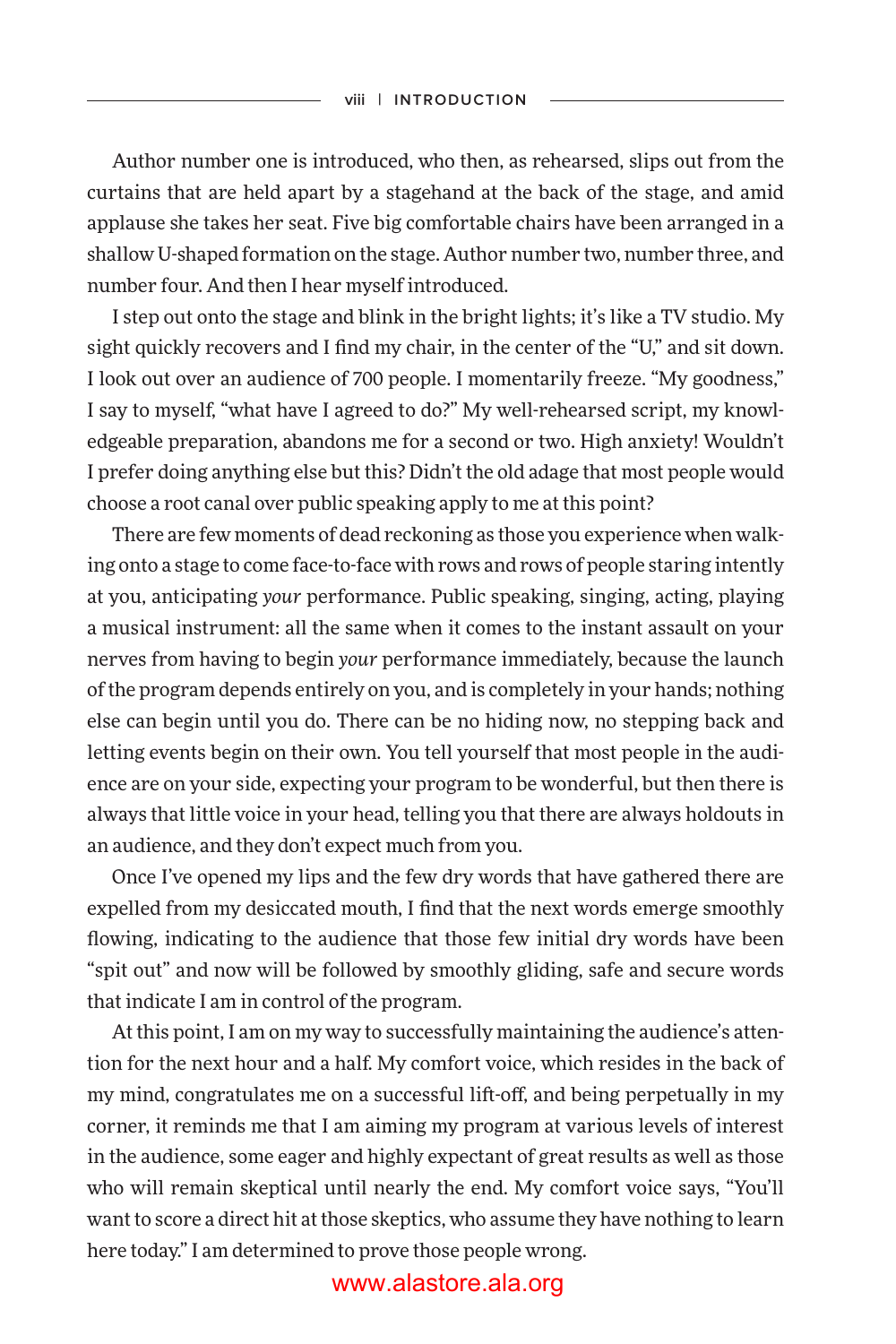Author number one is introduced, who then, as rehearsed, slips out from the curtains that are held apart by a stagehand at the back of the stage, and amid applause she takes her seat. Five big comfortable chairs have been arranged in a shallow U-shaped formation on the stage. Author number two, number three, and number four. And then I hear myself introduced.

I step out onto the stage and blink in the bright lights; it's like a TV studio. My sight quickly recovers and I find my chair, in the center of the "U," and sit down. I look out over an audience of 700 people. I momentarily freeze. "My goodness," I say to myself, "what have I agreed to do?" My well-rehearsed script, my knowledgeable preparation, abandons me for a second or two. High anxiety! Wouldn't I prefer doing anything else but this? Didn't the old adage that most people would choose a root canal over public speaking apply to me at this point?

There are few moments of dead reckoning as those you experience when walking onto a stage to come face-to-face with rows and rows of people staring intently at you, anticipating *your* performance. Public speaking, singing, acting, playing a musical instrument: all the same when it comes to the instant assault on your nerves from having to begin *your* performance immediately, because the launch of the program depends entirely on you, and is completely in your hands; nothing else can begin until you do. There can be no hiding now, no stepping back and letting events begin on their own. You tell yourself that most people in the audience are on your side, expecting your program to be wonderful, but then there is always that little voice in your head, telling you that there are always holdouts in an audience, and they don't expect much from you.

Once I've opened my lips and the few dry words that have gathered there are expelled from my desiccated mouth, I find that the next words emerge smoothly flowing, indicating to the audience that those few initial dry words have been "spit out" and now will be followed by smoothly gliding, safe and secure words that indicate I am in control of the program.

At this point, I am on my way to successfully maintaining the audience's attention for the next hour and a half. My comfort voice, which resides in the back of my mind, congratulates me on a successful lift-off, and being perpetually in my corner, it reminds me that I am aiming my program at various levels of interest in the audience, some eager and highly expectant of great results as well as those who will remain skeptical until nearly the end. My comfort voice says, "You'll want to score a direct hit at those skeptics, who assume they have nothing to learn here today." I am determined to prove those people wrong.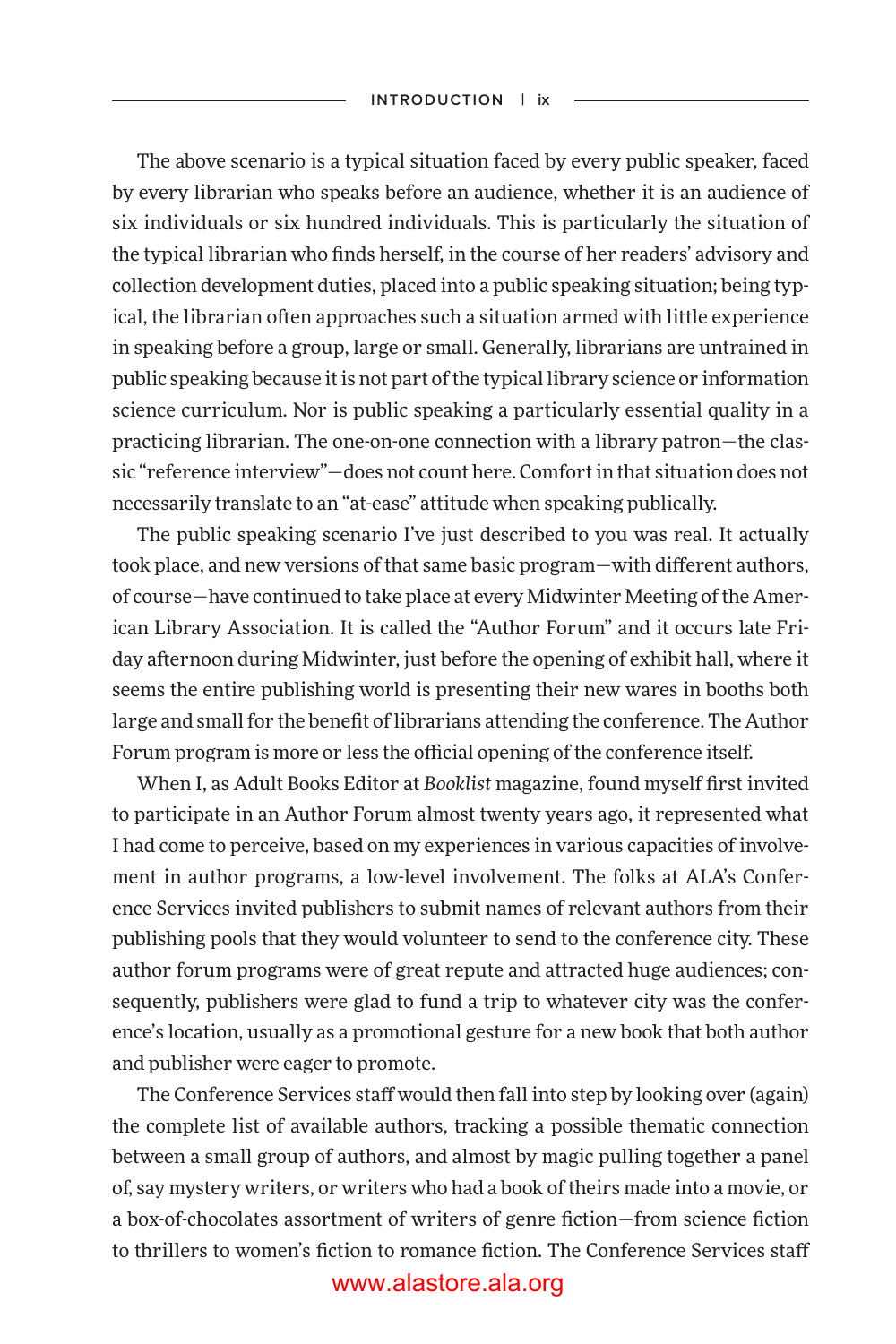The above scenario is a typical situation faced by every public speaker, faced by every librarian who speaks before an audience, whether it is an audience of six individuals or six hundred individuals. This is particularly the situation of the typical librarian who finds herself, in the course of her readers' advisory and collection development duties, placed into a public speaking situation; being typical, the librarian often approaches such a situation armed with little experience in speaking before a group, large or small. Generally, librarians are untrained in public speaking because it is not part of the typical library science or information science curriculum. Nor is public speaking a particularly essential quality in a practicing librarian. The one-on-one connection with a library patron—the classic "reference interview"—does not count here. Comfort in that situation does not necessarily translate to an "at-ease" attitude when speaking publically.

The public speaking scenario I've just described to you was real. It actually took place, and new versions of that same basic program—with different authors, of course—have continued to take place at every Midwinter Meeting of the American Library Association. It is called the "Author Forum" and it occurs late Friday afternoon during Midwinter, just before the opening of exhibit hall, where it seems the entire publishing world is presenting their new wares in booths both large and small for the benefit of librarians attending the conference. The Author Forum program is more or less the official opening of the conference itself.

When I, as Adult Books Editor at *Booklist* magazine, found myself first invited to participate in an Author Forum almost twenty years ago, it represented what I had come to perceive, based on my experiences in various capacities of involvement in author programs, a low-level involvement. The folks at ALA's Conference Services invited publishers to submit names of relevant authors from their publishing pools that they would volunteer to send to the conference city. These author forum programs were of great repute and attracted huge audiences; consequently, publishers were glad to fund a trip to whatever city was the conference's location, usually as a promotional gesture for a new book that both author and publisher were eager to promote.

The Conference Services staff would then fall into step by looking over (again) the complete list of available authors, tracking a possible thematic connection between a small group of authors, and almost by magic pulling together a panel of, say mystery writers, or writers who had a book of theirs made into a movie, or a box-of-chocolates assortment of writers of genre fiction—from science fiction to thrillers to women's fiction to romance fiction. The Conference Services staff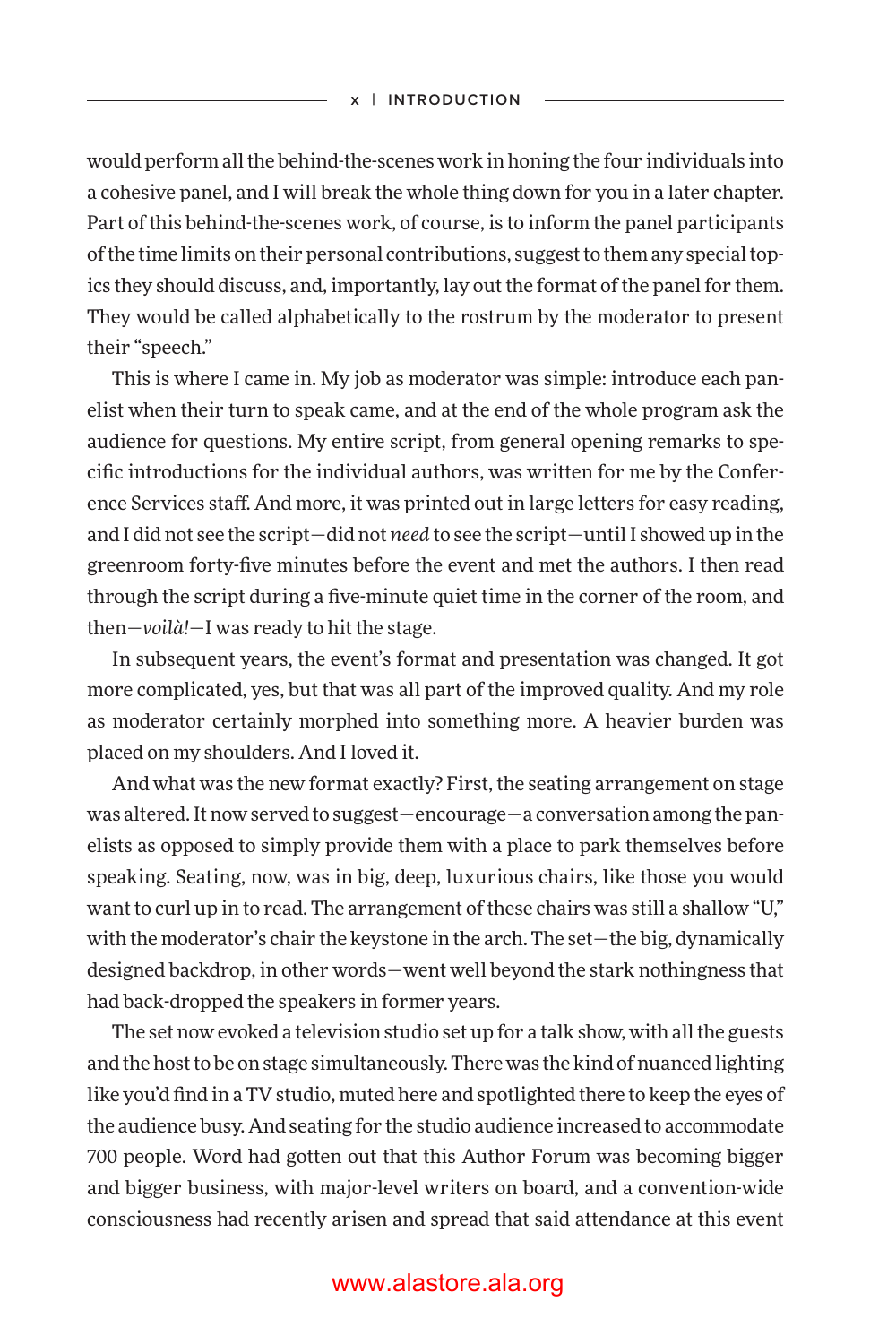#### **x | Introduction**

would perform all the behind-the-scenes work in honing the four individuals into a cohesive panel, and I will break the whole thing down for you in a later chapter. Part of this behind-the-scenes work, of course, is to inform the panel participants of the time limits on their personal contributions, suggest to them any special topics they should discuss, and, importantly, lay out the format of the panel for them. They would be called alphabetically to the rostrum by the moderator to present their "speech."

This is where I came in. My job as moderator was simple: introduce each panelist when their turn to speak came, and at the end of the whole program ask the audience for questions. My entire script, from general opening remarks to specific introductions for the individual authors, was written for me by the Conference Services staff. And more, it was printed out in large letters for easy reading, and I did not see the script—did not *need* to see the script—until I showed up in the greenroom forty-five minutes before the event and met the authors. I then read through the script during a five-minute quiet time in the corner of the room, and then*—voilà!—*I was ready to hit the stage.

In subsequent years, the event's format and presentation was changed. It got more complicated, yes, but that was all part of the improved quality. And my role as moderator certainly morphed into something more. A heavier burden was placed on my shoulders. And I loved it.

And what was the new format exactly? First, the seating arrangement on stage was altered. It now served to suggest—encourage—a conversation among the panelists as opposed to simply provide them with a place to park themselves before speaking. Seating, now, was in big, deep, luxurious chairs, like those you would want to curl up in to read. The arrangement of these chairs was still a shallow "U," with the moderator's chair the keystone in the arch. The set—the big, dynamically designed backdrop, in other words—went well beyond the stark nothingness that had back-dropped the speakers in former years.

The set now evoked a television studio set up for a talk show, with all the guests and the host to be on stage simultaneously. There was the kind of nuanced lighting like you'd find in a TV studio, muted here and spotlighted there to keep the eyes of the audience busy. And seating for the studio audience increased to accommodate 700 people. Word had gotten out that this Author Forum was becoming bigger and bigger business, with major-level writers on board, and a convention-wide consciousness had recently arisen and spread that said attendance at this event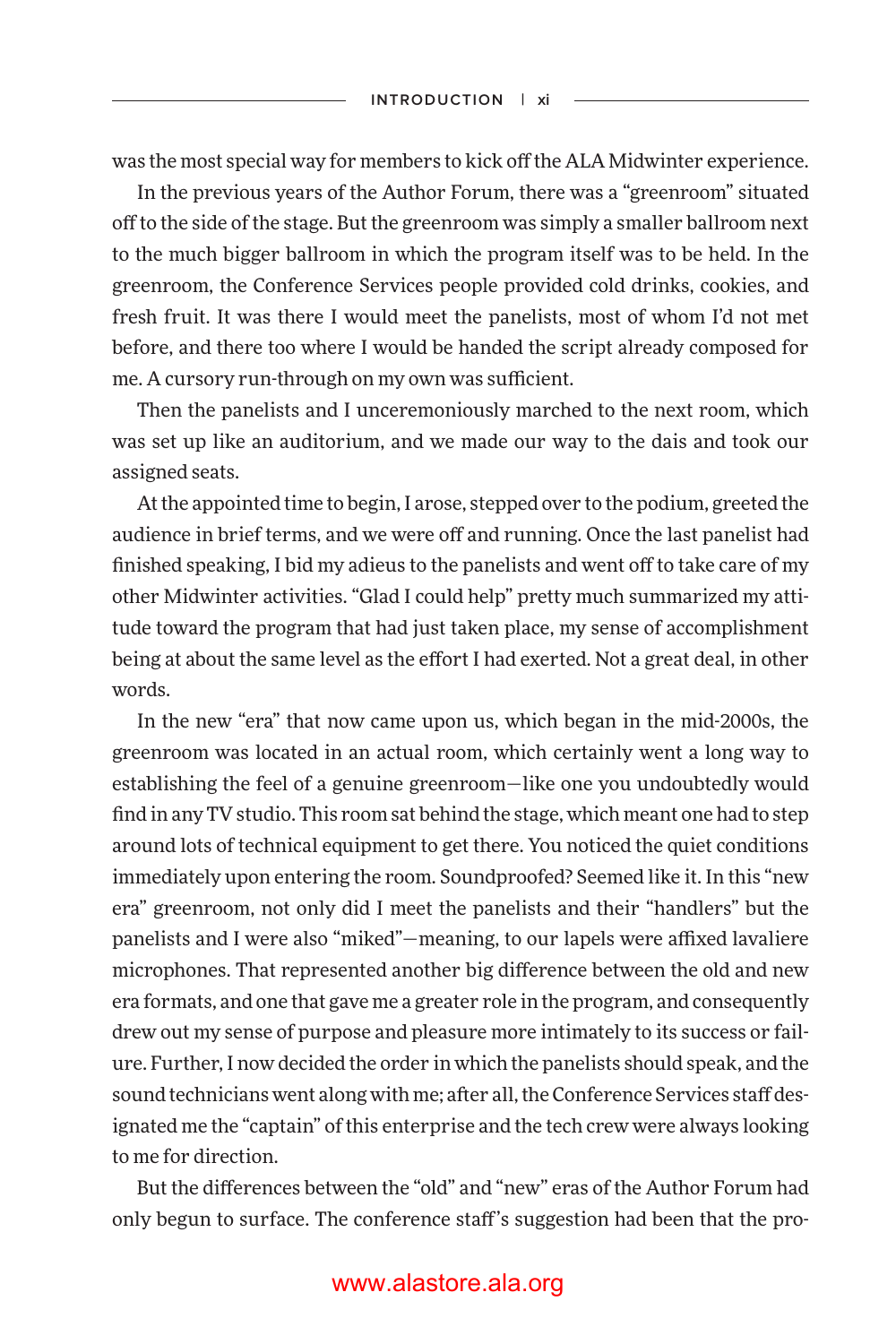was the most special way for members to kick off the ALA Midwinter experience.

In the previous years of the Author Forum, there was a "greenroom" situated off to the side of the stage. But the greenroom was simply a smaller ballroom next to the much bigger ballroom in which the program itself was to be held. In the greenroom, the Conference Services people provided cold drinks, cookies, and fresh fruit. It was there I would meet the panelists, most of whom I'd not met before, and there too where I would be handed the script already composed for me. A cursory run-through on my own was sufficient.

Then the panelists and I unceremoniously marched to the next room, which was set up like an auditorium, and we made our way to the dais and took our assigned seats.

At the appointed time to begin, I arose, stepped over to the podium, greeted the audience in brief terms, and we were off and running. Once the last panelist had finished speaking, I bid my adieus to the panelists and went off to take care of my other Midwinter activities. "Glad I could help" pretty much summarized my attitude toward the program that had just taken place, my sense of accomplishment being at about the same level as the effort I had exerted. Not a great deal, in other words.

In the new "era" that now came upon us, which began in the mid-2000s, the greenroom was located in an actual room, which certainly went a long way to establishing the feel of a genuine greenroom—like one you undoubtedly would find in any TV studio. This room sat behind the stage, which meant one had to step around lots of technical equipment to get there. You noticed the quiet conditions immediately upon entering the room. Soundproofed? Seemed like it. In this "new era" greenroom, not only did I meet the panelists and their "handlers" but the panelists and I were also "miked"—meaning, to our lapels were affixed lavaliere microphones. That represented another big difference between the old and new era formats, and one that gave me a greater role in the program, and consequently drew out my sense of purpose and pleasure more intimately to its success or failure. Further, I now decided the order in which the panelists should speak, and the sound technicians went along with me; after all, the Conference Services staff designated me the "captain" of this enterprise and the tech crew were always looking to me for direction.

But the differences between the "old" and "new" eras of the Author Forum had only begun to surface. The conference staff 's suggestion had been that the pro-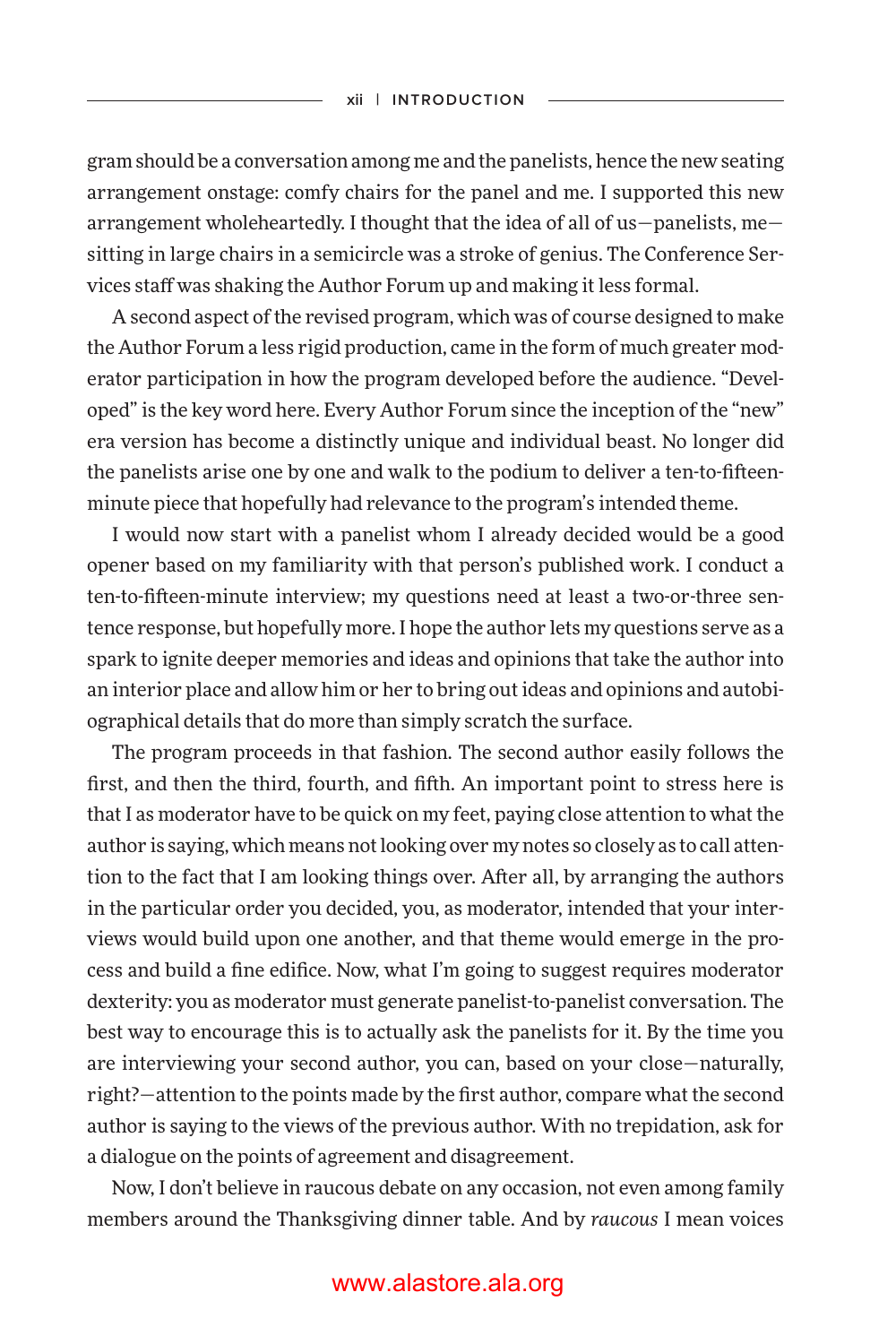gram should be a conversation among me and the panelists, hence the new seating arrangement onstage: comfy chairs for the panel and me. I supported this new arrangement wholeheartedly. I thought that the idea of all of us—panelists, me sitting in large chairs in a semicircle was a stroke of genius. The Conference Services staff was shaking the Author Forum up and making it less formal.

A second aspect of the revised program, which was of course designed to make the Author Forum a less rigid production, came in the form of much greater moderator participation in how the program developed before the audience. "Developed" is the key word here. Every Author Forum since the inception of the "new" era version has become a distinctly unique and individual beast. No longer did the panelists arise one by one and walk to the podium to deliver a ten-to-fifteenminute piece that hopefully had relevance to the program's intended theme.

I would now start with a panelist whom I already decided would be a good opener based on my familiarity with that person's published work. I conduct a ten-to-fifteen-minute interview; my questions need at least a two-or-three sentence response, but hopefully more. I hope the author lets my questions serve as a spark to ignite deeper memories and ideas and opinions that take the author into an interior place and allow him or her to bring out ideas and opinions and autobiographical details that do more than simply scratch the surface.

The program proceeds in that fashion. The second author easily follows the first, and then the third, fourth, and fifth. An important point to stress here is that I as moderator have to be quick on my feet, paying close attention to what the author is saying, which means not looking over my notes so closely as to call attention to the fact that I am looking things over. After all, by arranging the authors in the particular order you decided, you, as moderator, intended that your interviews would build upon one another, and that theme would emerge in the process and build a fine edifice. Now, what I'm going to suggest requires moderator dexterity: you as moderator must generate panelist-to-panelist conversation. The best way to encourage this is to actually ask the panelists for it. By the time you are interviewing your second author, you can, based on your close—naturally, right?—attention to the points made by the first author, compare what the second author is saying to the views of the previous author. With no trepidation, ask for a dialogue on the points of agreement and disagreement.

Now, I don't believe in raucous debate on any occasion, not even among family members around the Thanksgiving dinner table. And by *raucous* I mean voices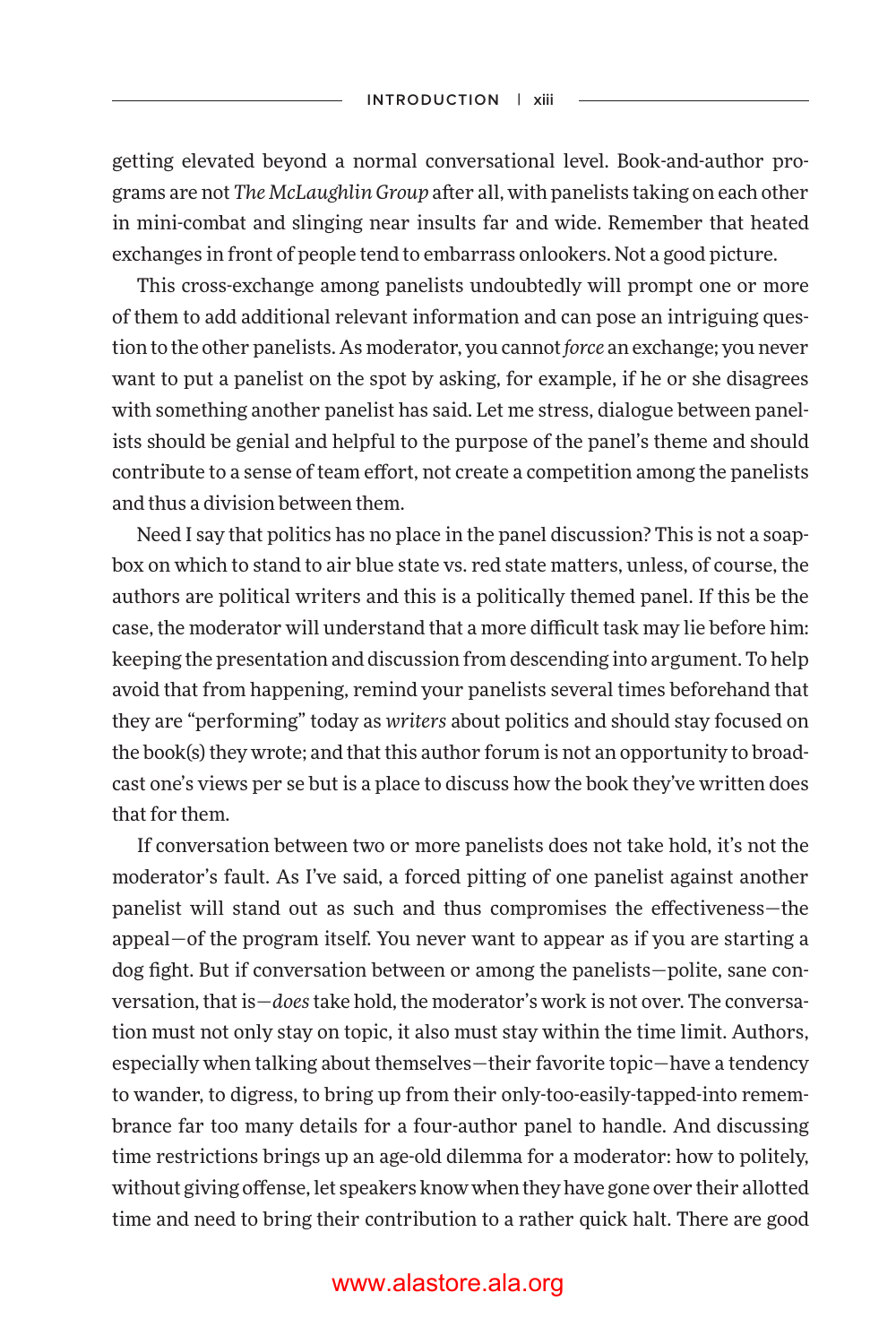getting elevated beyond a normal conversational level. Book-and-author programs are not *The McLaughlin Group* after all, with panelists taking on each other in mini-combat and slinging near insults far and wide. Remember that heated exchanges in front of people tend to embarrass onlookers. Not a good picture.

This cross-exchange among panelists undoubtedly will prompt one or more of them to add additional relevant information and can pose an intriguing question to the other panelists. As moderator, you cannot *force* an exchange; you never want to put a panelist on the spot by asking, for example, if he or she disagrees with something another panelist has said. Let me stress, dialogue between panelists should be genial and helpful to the purpose of the panel's theme and should contribute to a sense of team effort, not create a competition among the panelists and thus a division between them.

Need I say that politics has no place in the panel discussion? This is not a soapbox on which to stand to air blue state vs. red state matters, unless, of course, the authors are political writers and this is a politically themed panel. If this be the case, the moderator will understand that a more difficult task may lie before him: keeping the presentation and discussion from descending into argument. To help avoid that from happening, remind your panelists several times beforehand that they are "performing" today as *writers* about politics and should stay focused on the book(s) they wrote; and that this author forum is not an opportunity to broadcast one's views per se but is a place to discuss how the book they've written does that for them.

If conversation between two or more panelists does not take hold, it's not the moderator's fault. As I've said, a forced pitting of one panelist against another panelist will stand out as such and thus compromises the effectiveness—the appeal—of the program itself. You never want to appear as if you are starting a dog fight. But if conversation between or among the panelists—polite, sane conversation, that is—*does* take hold, the moderator's work is not over. The conversation must not only stay on topic, it also must stay within the time limit. Authors, especially when talking about themselves—their favorite topic—have a tendency to wander, to digress, to bring up from their only-too-easily-tapped-into remembrance far too many details for a four-author panel to handle. And discussing time restrictions brings up an age-old dilemma for a moderator: how to politely, without giving offense, let speakers know when they have gone over their allotted time and need to bring their contribution to a rather quick halt. There are good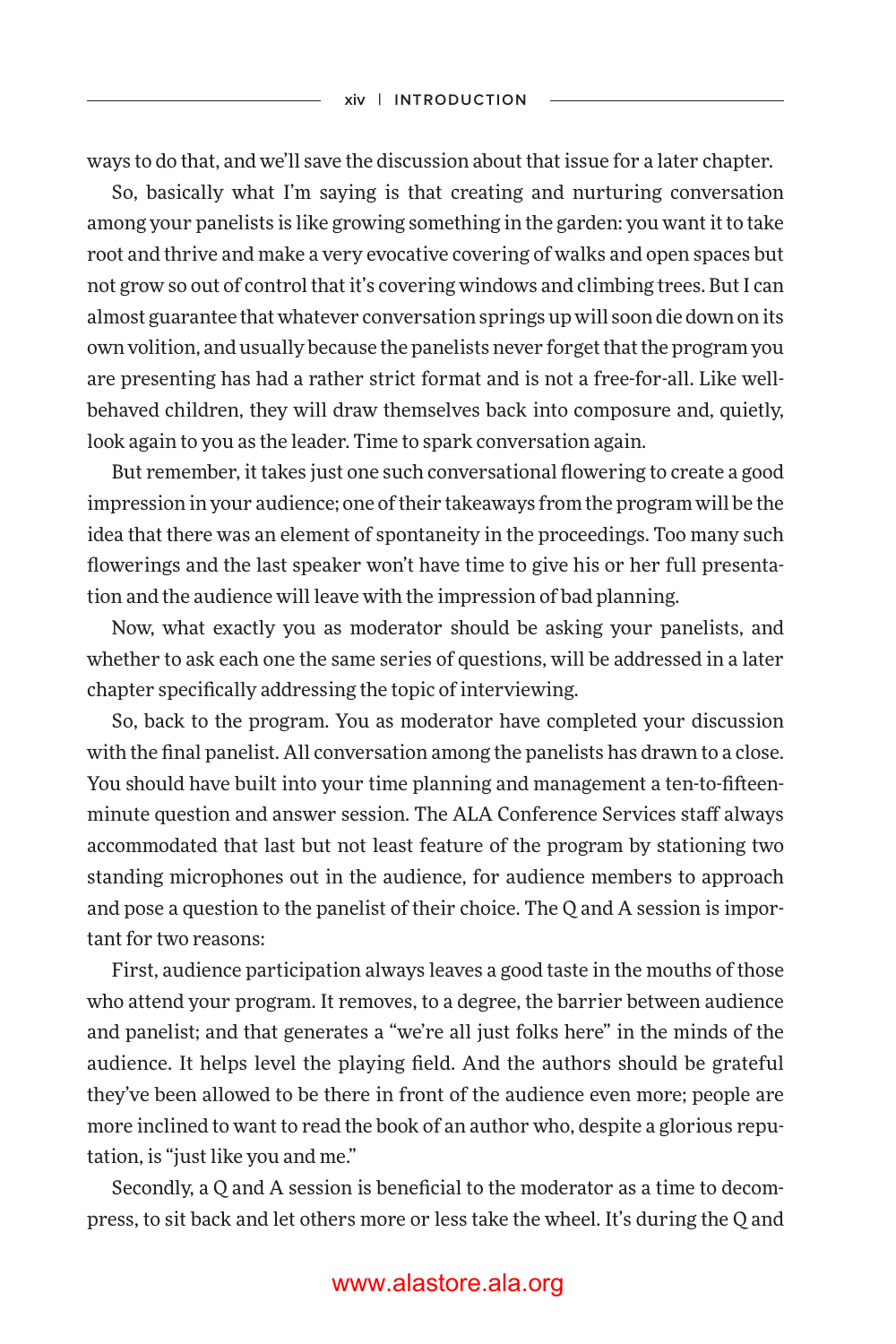ways to do that, and we'll save the discussion about that issue for a later chapter.

So, basically what I'm saying is that creating and nurturing conversation among your panelists is like growing something in the garden: you want it to take root and thrive and make a very evocative covering of walks and open spaces but not grow so out of control that it's covering windows and climbing trees. But I can almost guarantee that whatever conversation springs up will soon die down on its own volition, and usually because the panelists never forget that the program you are presenting has had a rather strict format and is not a free-for-all. Like wellbehaved children, they will draw themselves back into composure and, quietly, look again to you as the leader. Time to spark conversation again.

But remember, it takes just one such conversational flowering to create a good impression in your audience; one of their takeaways from the program will be the idea that there was an element of spontaneity in the proceedings. Too many such flowerings and the last speaker won't have time to give his or her full presentation and the audience will leave with the impression of bad planning.

Now, what exactly you as moderator should be asking your panelists, and whether to ask each one the same series of questions, will be addressed in a later chapter specifically addressing the topic of interviewing.

So, back to the program. You as moderator have completed your discussion with the final panelist. All conversation among the panelists has drawn to a close. You should have built into your time planning and management a ten-to-fifteenminute question and answer session. The ALA Conference Services staff always accommodated that last but not least feature of the program by stationing two standing microphones out in the audience, for audience members to approach and pose a question to the panelist of their choice. The Q and A session is important for two reasons:

First, audience participation always leaves a good taste in the mouths of those who attend your program. It removes, to a degree, the barrier between audience and panelist; and that generates a "we're all just folks here" in the minds of the audience. It helps level the playing field. And the authors should be grateful they've been allowed to be there in front of the audience even more; people are more inclined to want to read the book of an author who, despite a glorious reputation, is "just like you and me."

Secondly, a Q and A session is beneficial to the moderator as a time to decompress, to sit back and let others more or less take the wheel. It's during the Q and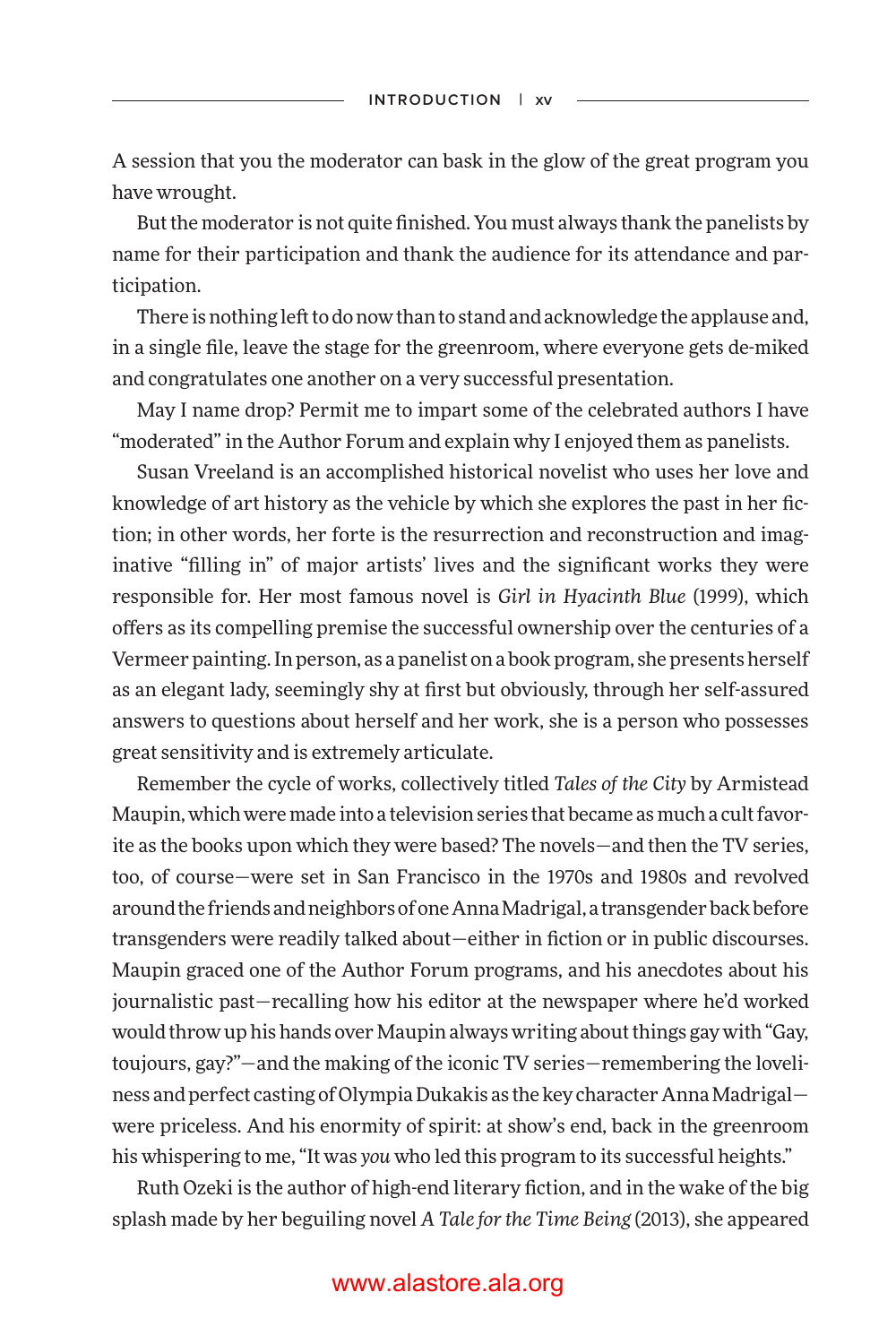A session that you the moderator can bask in the glow of the great program you have wrought.

But the moderator is not quite finished. You must always thank the panelists by name for their participation and thank the audience for its attendance and participation.

There is nothing left to do now than to stand and acknowledge the applause and, in a single file, leave the stage for the greenroom, where everyone gets de-miked and congratulates one another on a very successful presentation.

May I name drop? Permit me to impart some of the celebrated authors I have "moderated" in the Author Forum and explain why I enjoyed them as panelists.

Susan Vreeland is an accomplished historical novelist who uses her love and knowledge of art history as the vehicle by which she explores the past in her fiction; in other words, her forte is the resurrection and reconstruction and imaginative "filling in" of major artists' lives and the significant works they were responsible for. Her most famous novel is *Girl in Hyacinth Blue* (1999), which offers as its compelling premise the successful ownership over the centuries of a Vermeer painting. In person, as a panelist on a book program, she presents herself as an elegant lady, seemingly shy at first but obviously, through her self-assured answers to questions about herself and her work, she is a person who possesses great sensitivity and is extremely articulate.

Remember the cycle of works, collectively titled *Tales of the City* by Armistead Maupin, which were made into a television series that became as much a cult favorite as the books upon which they were based? The novels—and then the TV series, too, of course—were set in San Francisco in the 1970s and 1980s and revolved around the friends and neighbors of one Anna Madrigal, a transgender back before transgenders were readily talked about—either in fiction or in public discourses. Maupin graced one of the Author Forum programs, and his anecdotes about his journalistic past—recalling how his editor at the newspaper where he'd worked would throw up his hands over Maupin always writing about things gay with "Gay, toujours, gay?"—and the making of the iconic TV series—remembering the loveliness and perfect casting of Olympia Dukakis as the key character Anna Madrigal were priceless. And his enormity of spirit: at show's end, back in the greenroom his whispering to me, "It was *you* who led this program to its successful heights."

Ruth Ozeki is the author of high-end literary fiction, and in the wake of the big splash made by her beguiling novel *A Tale for the Time Being* (2013), she appeared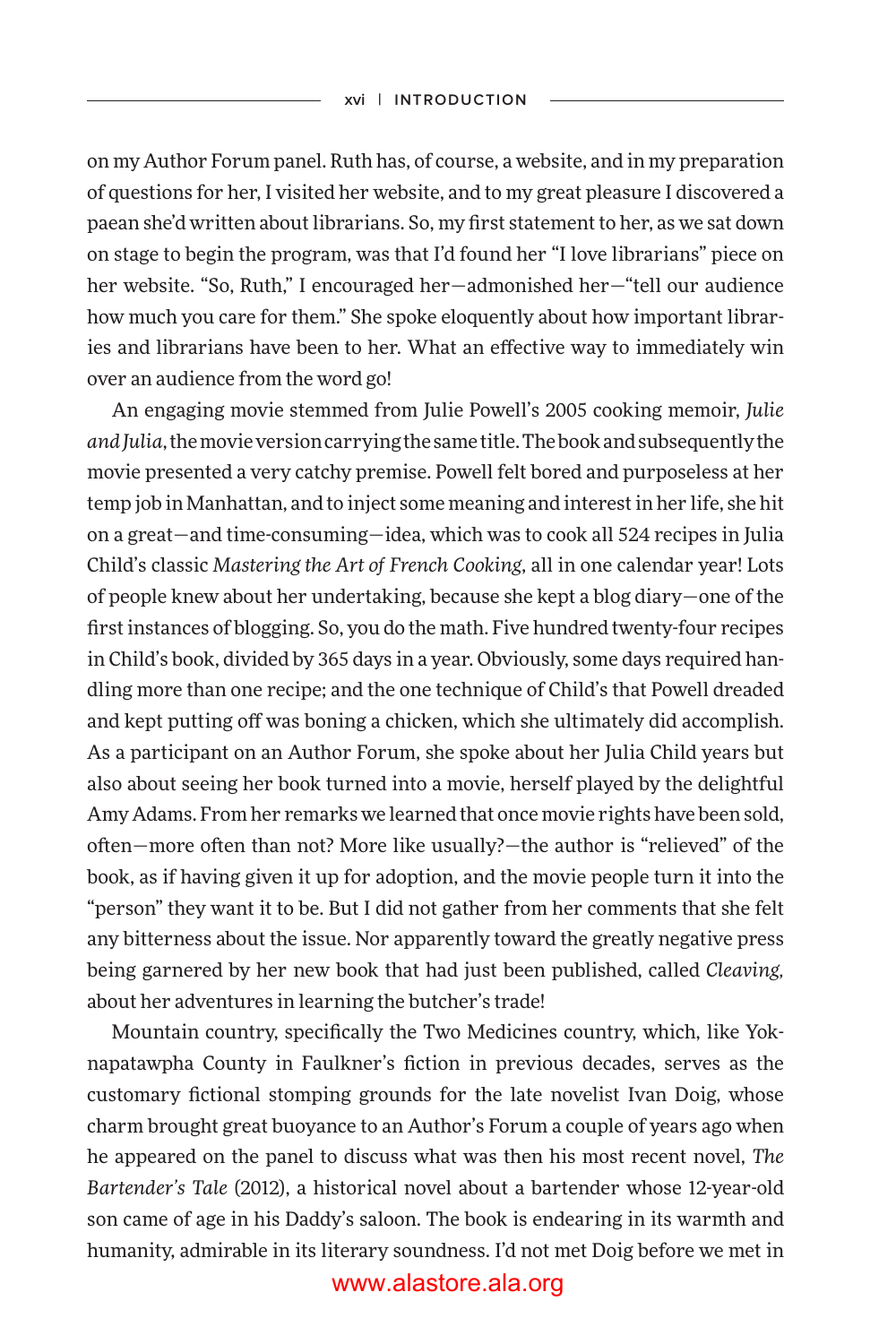on my Author Forum panel. Ruth has, of course, a website, and in my preparation of questions for her, I visited her website, and to my great pleasure I discovered a paean she'd written about librarians. So, my first statement to her, as we sat down on stage to begin the program, was that I'd found her "I love librarians" piece on her website. "So, Ruth," I encouraged her—admonished her—"tell our audience how much you care for them." She spoke eloquently about how important libraries and librarians have been to her. What an effective way to immediately win over an audience from the word go!

An engaging movie stemmed from Julie Powell's 2005 cooking memoir, *Julie and Julia*, the movie version carrying the same title. The book and subsequently the movie presented a very catchy premise. Powell felt bored and purposeless at her temp job in Manhattan, and to inject some meaning and interest in her life, she hit on a great—and time-consuming—idea, which was to cook all 524 recipes in Julia Child's classic *Mastering the Art of French Cooking*, all in one calendar year! Lots of people knew about her undertaking, because she kept a blog diary—one of the first instances of blogging. So, you do the math. Five hundred twenty-four recipes in Child's book, divided by 365 days in a year. Obviously, some days required handling more than one recipe; and the one technique of Child's that Powell dreaded and kept putting off was boning a chicken, which she ultimately did accomplish. As a participant on an Author Forum, she spoke about her Julia Child years but also about seeing her book turned into a movie, herself played by the delightful Amy Adams. From her remarks we learned that once movie rights have been sold, often—more often than not? More like usually?—the author is "relieved" of the book, as if having given it up for adoption, and the movie people turn it into the "person" they want it to be. But I did not gather from her comments that she felt any bitterness about the issue. Nor apparently toward the greatly negative press being garnered by her new book that had just been published, called *Cleaving,*  about her adventures in learning the butcher's trade!

Mountain country, specifically the Two Medicines country, which, like Yoknapatawpha County in Faulkner's fiction in previous decades, serves as the customary fictional stomping grounds for the late novelist Ivan Doig, whose charm brought great buoyance to an Author's Forum a couple of years ago when he appeared on the panel to discuss what was then his most recent novel, *The Bartender's Tale* (2012), a historical novel about a bartender whose 12-year-old son came of age in his Daddy's saloon. The book is endearing in its warmth and humanity, admirable in its literary soundness. I'd not met Doig before we met in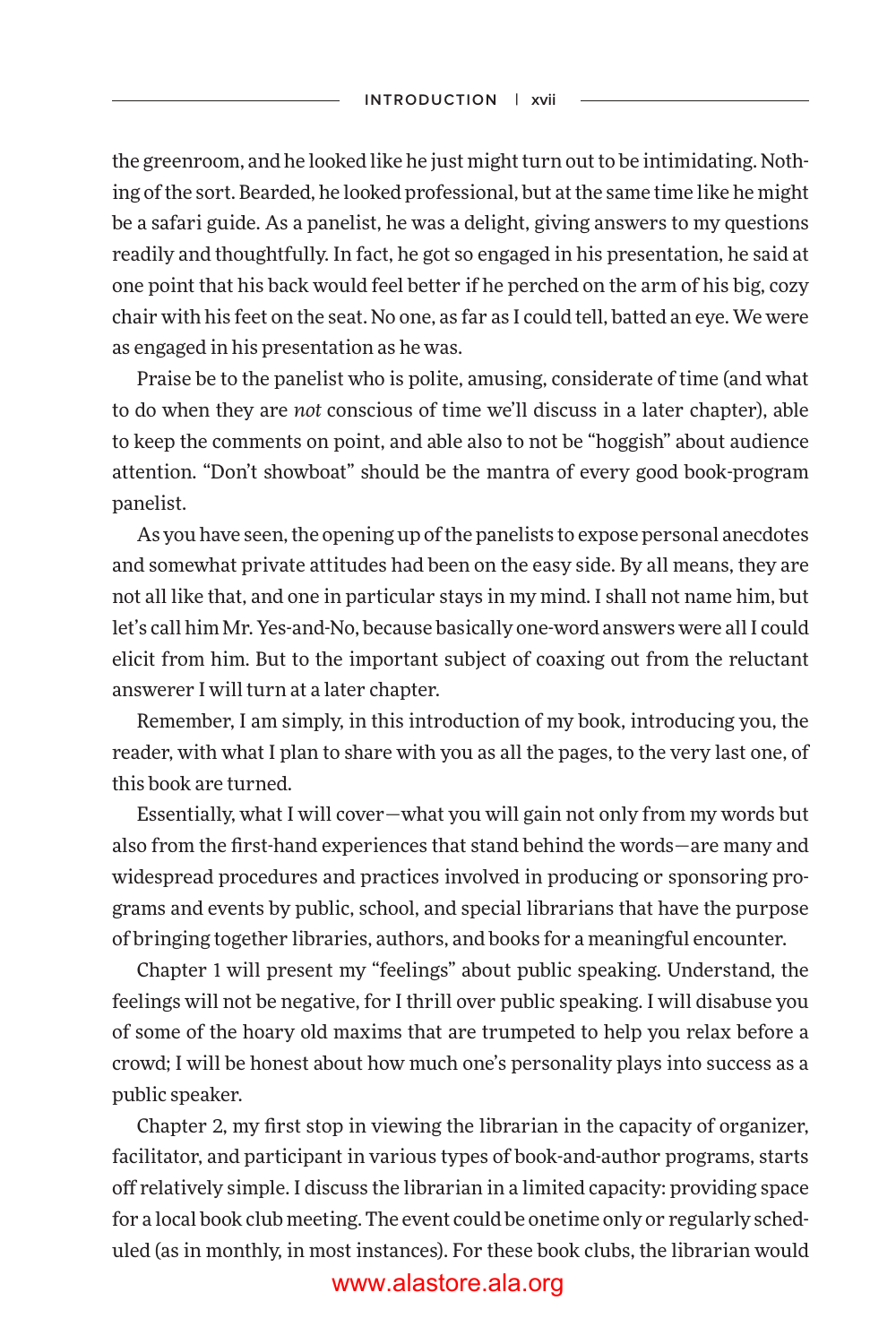the greenroom, and he looked like he just might turn out to be intimidating. Nothing of the sort. Bearded, he looked professional, but at the same time like he might be a safari guide. As a panelist, he was a delight, giving answers to my questions readily and thoughtfully. In fact, he got so engaged in his presentation, he said at one point that his back would feel better if he perched on the arm of his big, cozy chair with his feet on the seat. No one, as far as I could tell, batted an eye. We were as engaged in his presentation as he was.

Praise be to the panelist who is polite, amusing, considerate of time (and what to do when they are *not* conscious of time we'll discuss in a later chapter), able to keep the comments on point, and able also to not be "hoggish" about audience attention. "Don't showboat" should be the mantra of every good book-program panelist.

As you have seen, the opening up of the panelists to expose personal anecdotes and somewhat private attitudes had been on the easy side. By all means, they are not all like that, and one in particular stays in my mind. I shall not name him, but let's call him Mr. Yes-and-No, because basically one-word answers were all I could elicit from him. But to the important subject of coaxing out from the reluctant answerer I will turn at a later chapter.

Remember, I am simply, in this introduction of my book, introducing you, the reader, with what I plan to share with you as all the pages, to the very last one, of this book are turned.

Essentially, what I will cover—what you will gain not only from my words but also from the first-hand experiences that stand behind the words—are many and widespread procedures and practices involved in producing or sponsoring programs and events by public, school, and special librarians that have the purpose of bringing together libraries, authors, and books for a meaningful encounter.

Chapter 1 will present my "feelings" about public speaking. Understand, the feelings will not be negative, for I thrill over public speaking. I will disabuse you of some of the hoary old maxims that are trumpeted to help you relax before a crowd; I will be honest about how much one's personality plays into success as a public speaker.

Chapter 2, my first stop in viewing the librarian in the capacity of organizer, facilitator, and participant in various types of book-and-author programs, starts off relatively simple. I discuss the librarian in a limited capacity: providing space for a local book club meeting. The event could be onetime only or regularly scheduled (as in monthly, in most instances). For these book clubs, the librarian would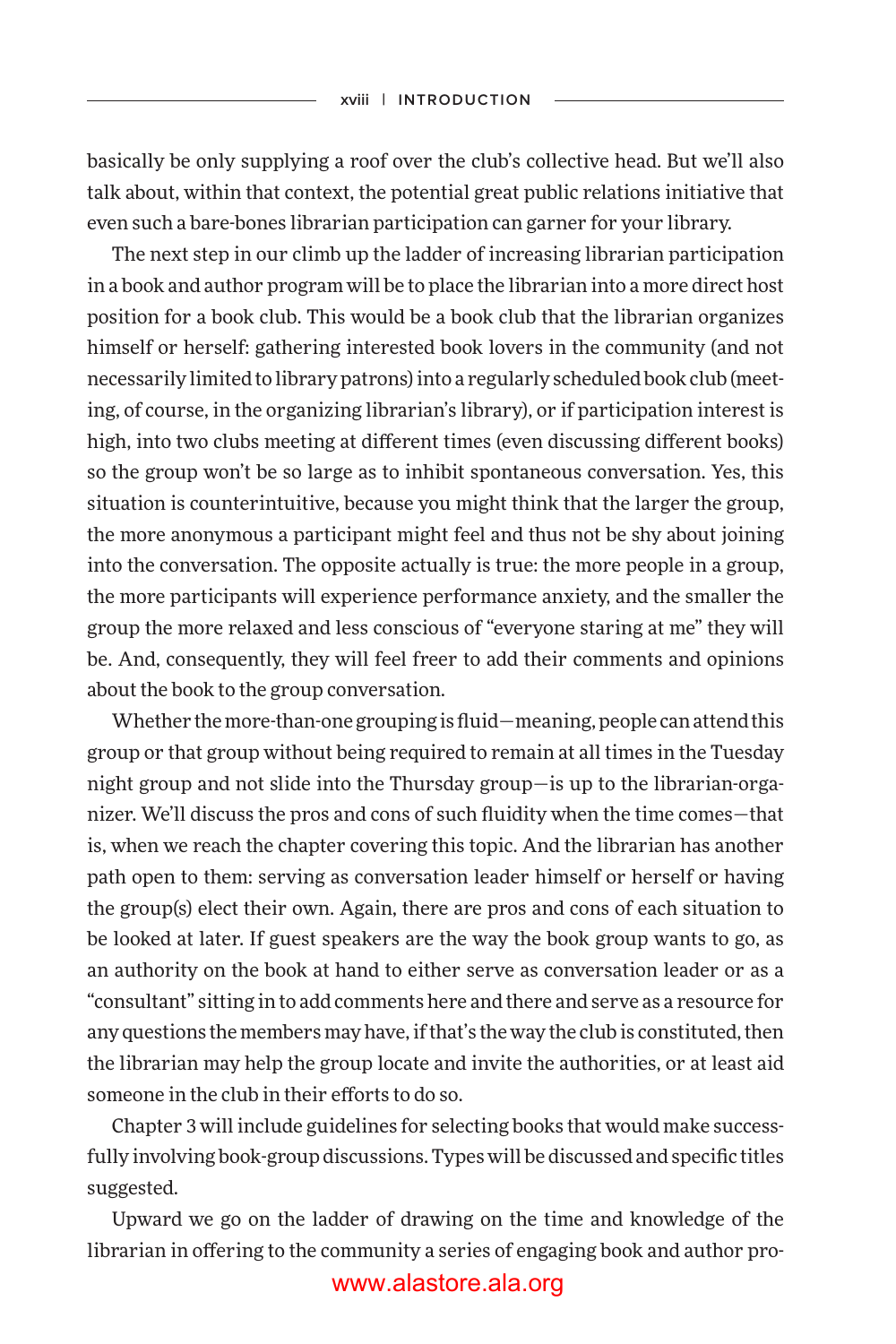basically be only supplying a roof over the club's collective head. But we'll also talk about, within that context, the potential great public relations initiative that even such a bare-bones librarian participation can garner for your library.

The next step in our climb up the ladder of increasing librarian participation in a book and author program will be to place the librarian into a more direct host position for a book club. This would be a book club that the librarian organizes himself or herself: gathering interested book lovers in the community (and not necessarily limited to library patrons) into a regularly scheduled book club (meeting, of course, in the organizing librarian's library), or if participation interest is high, into two clubs meeting at different times (even discussing different books) so the group won't be so large as to inhibit spontaneous conversation. Yes, this situation is counterintuitive, because you might think that the larger the group, the more anonymous a participant might feel and thus not be shy about joining into the conversation. The opposite actually is true: the more people in a group, the more participants will experience performance anxiety, and the smaller the group the more relaxed and less conscious of "everyone staring at me" they will be. And, consequently, they will feel freer to add their comments and opinions about the book to the group conversation.

Whether the more-than-one grouping is fluid—meaning, people can attend this group or that group without being required to remain at all times in the Tuesday night group and not slide into the Thursday group—is up to the librarian-organizer. We'll discuss the pros and cons of such fluidity when the time comes—that is, when we reach the chapter covering this topic. And the librarian has another path open to them: serving as conversation leader himself or herself or having the group(s) elect their own. Again, there are pros and cons of each situation to be looked at later. If guest speakers are the way the book group wants to go, as an authority on the book at hand to either serve as conversation leader or as a "consultant" sitting in to add comments here and there and serve as a resource for any questions the members may have, if that's the way the club is constituted, then the librarian may help the group locate and invite the authorities, or at least aid someone in the club in their efforts to do so.

Chapter 3 will include guidelines for selecting books that would make successfully involving book-group discussions. Types will be discussed and specific titles suggested.

Upward we go on the ladder of drawing on the time and knowledge of the librarian in offering to the community a series of engaging book and author pro-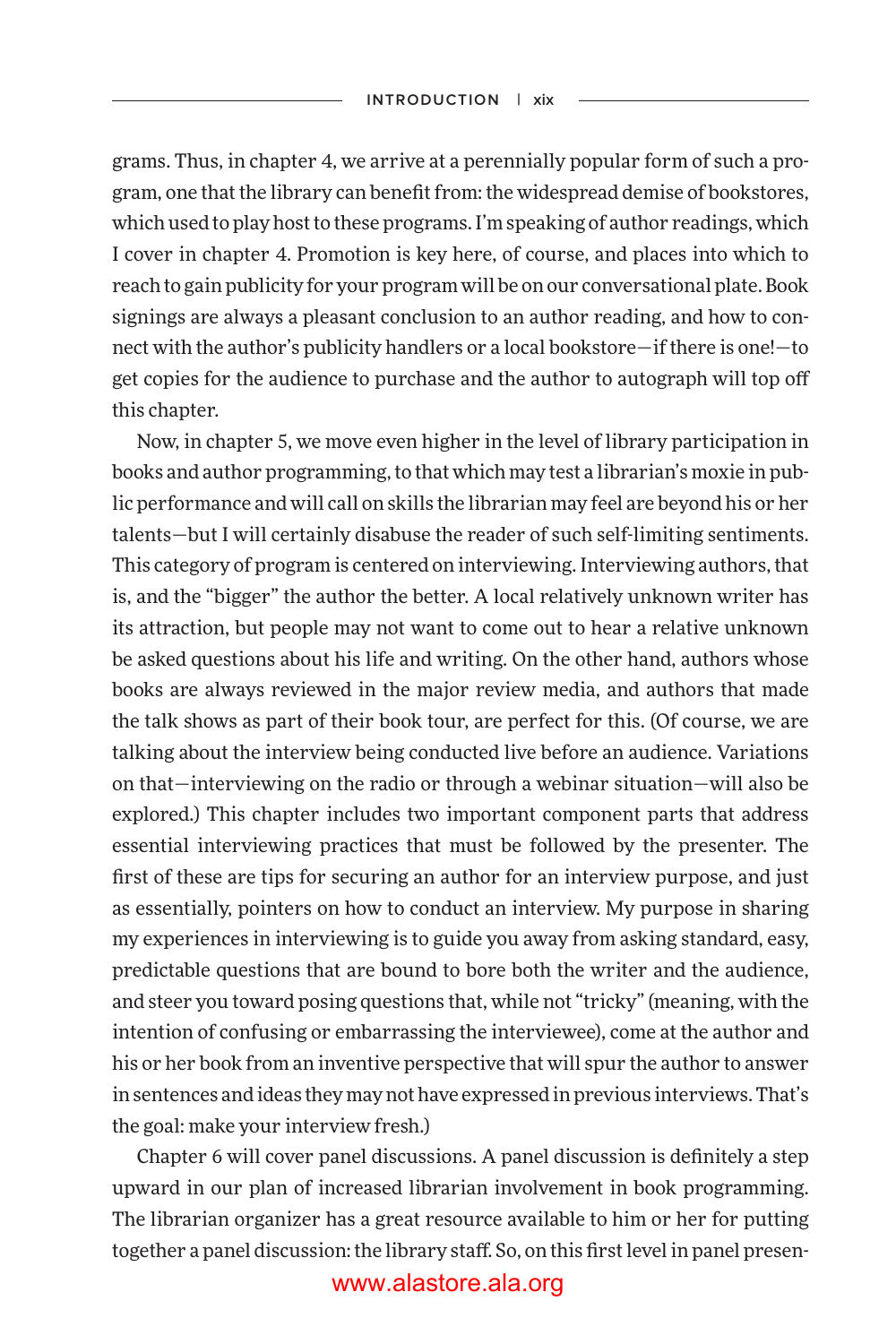grams. Thus, in chapter 4, we arrive at a perennially popular form of such a program, one that the library can benefit from: the widespread demise of bookstores, which used to play host to these programs. I'm speaking of author readings, which I cover in chapter 4. Promotion is key here, of course, and places into which to reach to gain publicity for your program will be on our conversational plate. Book signings are always a pleasant conclusion to an author reading, and how to connect with the author's publicity handlers or a local bookstore—if there is one!—to get copies for the audience to purchase and the author to autograph will top off this chapter.

Now, in chapter 5, we move even higher in the level of library participation in books and author programming, to that which may test a librarian's moxie in public performance and will call on skills the librarian may feel are beyond his or her talents—but I will certainly disabuse the reader of such self-limiting sentiments. This category of program is centered on interviewing. Interviewing authors, that is, and the "bigger" the author the better. A local relatively unknown writer has its attraction, but people may not want to come out to hear a relative unknown be asked questions about his life and writing. On the other hand, authors whose books are always reviewed in the major review media, and authors that made the talk shows as part of their book tour, are perfect for this. (Of course, we are talking about the interview being conducted live before an audience. Variations on that—interviewing on the radio or through a webinar situation—will also be explored.) This chapter includes two important component parts that address essential interviewing practices that must be followed by the presenter. The first of these are tips for securing an author for an interview purpose, and just as essentially, pointers on how to conduct an interview. My purpose in sharing my experiences in interviewing is to guide you away from asking standard, easy, predictable questions that are bound to bore both the writer and the audience, and steer you toward posing questions that, while not "tricky" (meaning, with the intention of confusing or embarrassing the interviewee), come at the author and his or her book from an inventive perspective that will spur the author to answer in sentences and ideas they may not have expressed in previous interviews. That's the goal: make your interview fresh.)

Chapter 6 will cover panel discussions. A panel discussion is definitely a step upward in our plan of increased librarian involvement in book programming. The librarian organizer has a great resource available to him or her for putting together a panel discussion: the library staff. So, on this first level in panel presen-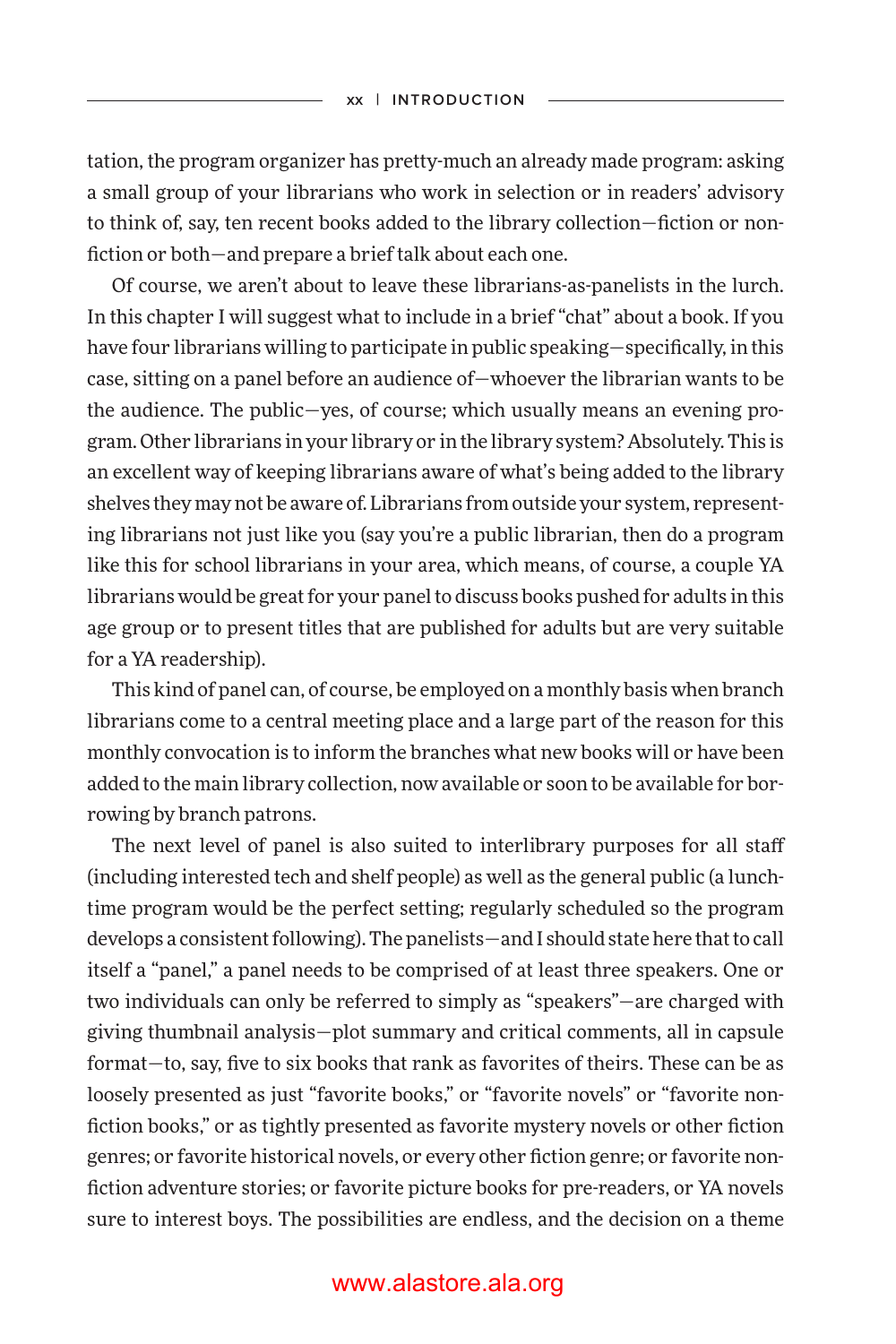tation, the program organizer has pretty-much an already made program: asking a small group of your librarians who work in selection or in readers' advisory to think of, say, ten recent books added to the library collection—fiction or nonfiction or both—and prepare a brief talk about each one.

Of course, we aren't about to leave these librarians-as-panelists in the lurch. In this chapter I will suggest what to include in a brief "chat" about a book. If you have four librarians willing to participate in public speaking—specifically, in this case, sitting on a panel before an audience of—whoever the librarian wants to be the audience. The public—yes, of course; which usually means an evening program. Other librarians in your library or in the library system? Absolutely. This is an excellent way of keeping librarians aware of what's being added to the library shelves they may not be aware of. Librarians from outside your system, representing librarians not just like you (say you're a public librarian, then do a program like this for school librarians in your area, which means, of course, a couple YA librarians would be great for your panel to discuss books pushed for adults in this age group or to present titles that are published for adults but are very suitable for a YA readership).

This kind of panel can, of course, be employed on a monthly basis when branch librarians come to a central meeting place and a large part of the reason for this monthly convocation is to inform the branches what new books will or have been added to the main library collection, now available or soon to be available for borrowing by branch patrons.

The next level of panel is also suited to interlibrary purposes for all staff (including interested tech and shelf people) as well as the general public (a lunchtime program would be the perfect setting; regularly scheduled so the program develops a consistent following). The panelists—and I should state here that to call itself a "panel," a panel needs to be comprised of at least three speakers. One or two individuals can only be referred to simply as "speakers"—are charged with giving thumbnail analysis—plot summary and critical comments, all in capsule format—to, say, five to six books that rank as favorites of theirs. These can be as loosely presented as just "favorite books," or "favorite novels" or "favorite nonfiction books," or as tightly presented as favorite mystery novels or other fiction genres; or favorite historical novels, or every other fiction genre; or favorite nonfiction adventure stories; or favorite picture books for pre-readers, or YA novels sure to interest boys. The possibilities are endless, and the decision on a theme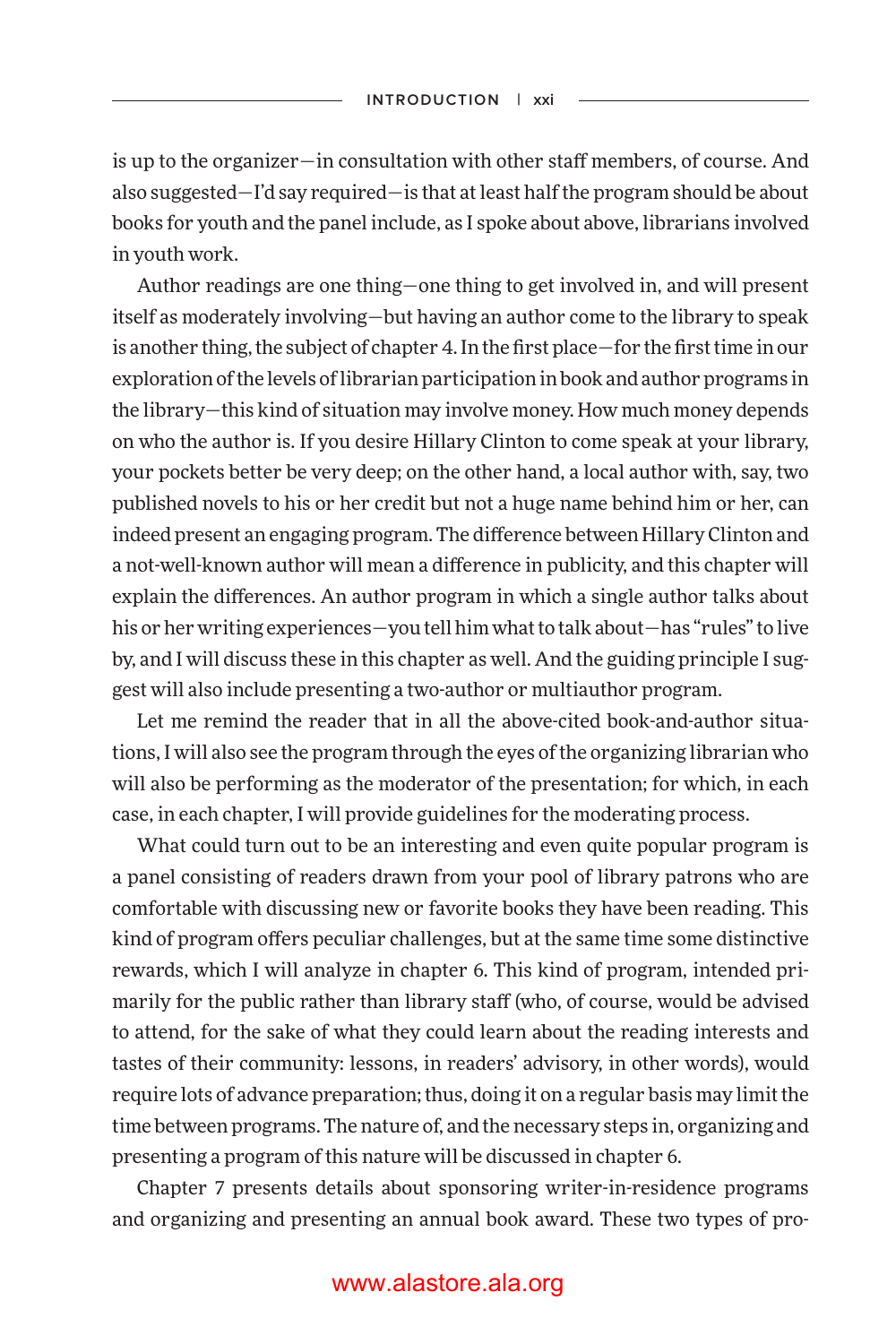is up to the organizer—in consultation with other staff members, of course. And also suggested—I'd say required—is that at least half the program should be about books for youth and the panel include, as I spoke about above, librarians involved in youth work.

Author readings are one thing—one thing to get involved in, and will present itself as moderately involving—but having an author come to the library to speak is another thing, the subject of chapter 4. In the first place—for the first time in our exploration of the levels of librarian participation in book and author programs in the library—this kind of situation may involve money. How much money depends on who the author is. If you desire Hillary Clinton to come speak at your library, your pockets better be very deep; on the other hand, a local author with, say, two published novels to his or her credit but not a huge name behind him or her, can indeed present an engaging program. The difference between Hillary Clinton and a not-well-known author will mean a difference in publicity, and this chapter will explain the differences. An author program in which a single author talks about his or her writing experiences—you tell him what to talk about—has "rules" to live by, and I will discuss these in this chapter as well. And the guiding principle I suggest will also include presenting a two-author or multiauthor program.

Let me remind the reader that in all the above-cited book-and-author situations, I will also see the program through the eyes of the organizing librarian who will also be performing as the moderator of the presentation; for which, in each case, in each chapter, I will provide guidelines for the moderating process.

What could turn out to be an interesting and even quite popular program is a panel consisting of readers drawn from your pool of library patrons who are comfortable with discussing new or favorite books they have been reading. This kind of program offers peculiar challenges, but at the same time some distinctive rewards, which I will analyze in chapter 6. This kind of program, intended primarily for the public rather than library staff (who, of course, would be advised to attend, for the sake of what they could learn about the reading interests and tastes of their community: lessons, in readers' advisory, in other words), would require lots of advance preparation; thus, doing it on a regular basis may limit the time between programs. The nature of, and the necessary steps in, organizing and presenting a program of this nature will be discussed in chapter 6.

Chapter 7 presents details about sponsoring writer-in-residence programs and organizing and presenting an annual book award. These two types of pro-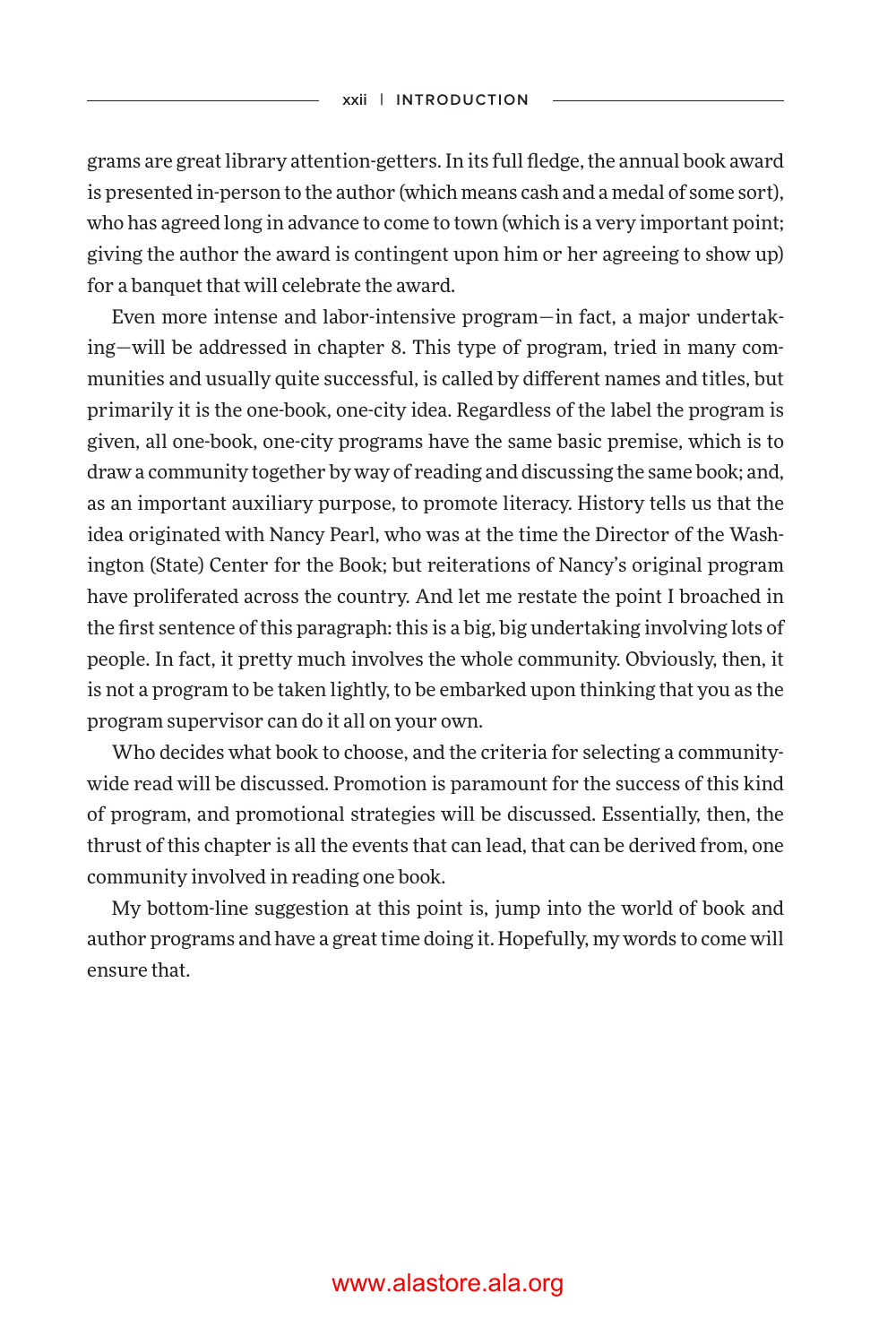grams are great library attention-getters. In its full fledge, the annual book award is presented in-person to the author (which means cash and a medal of some sort), who has agreed long in advance to come to town (which is a very important point; giving the author the award is contingent upon him or her agreeing to show up) for a banquet that will celebrate the award.

Even more intense and labor-intensive program—in fact, a major undertaking—will be addressed in chapter 8. This type of program, tried in many communities and usually quite successful, is called by different names and titles, but primarily it is the one-book, one-city idea. Regardless of the label the program is given, all one-book, one-city programs have the same basic premise, which is to draw a community together by way of reading and discussing the same book; and, as an important auxiliary purpose, to promote literacy. History tells us that the idea originated with Nancy Pearl, who was at the time the Director of the Washington (State) Center for the Book; but reiterations of Nancy's original program have proliferated across the country. And let me restate the point I broached in the first sentence of this paragraph: this is a big, big undertaking involving lots of people. In fact, it pretty much involves the whole community. Obviously, then, it is not a program to be taken lightly, to be embarked upon thinking that you as the program supervisor can do it all on your own.

Who decides what book to choose, and the criteria for selecting a communitywide read will be discussed. Promotion is paramount for the success of this kind of program, and promotional strategies will be discussed. Essentially, then, the thrust of this chapter is all the events that can lead, that can be derived from, one community involved in reading one book.

My bottom-line suggestion at this point is, jump into the world of book and author programs and have a great time doing it. Hopefully, my words to come will ensure that.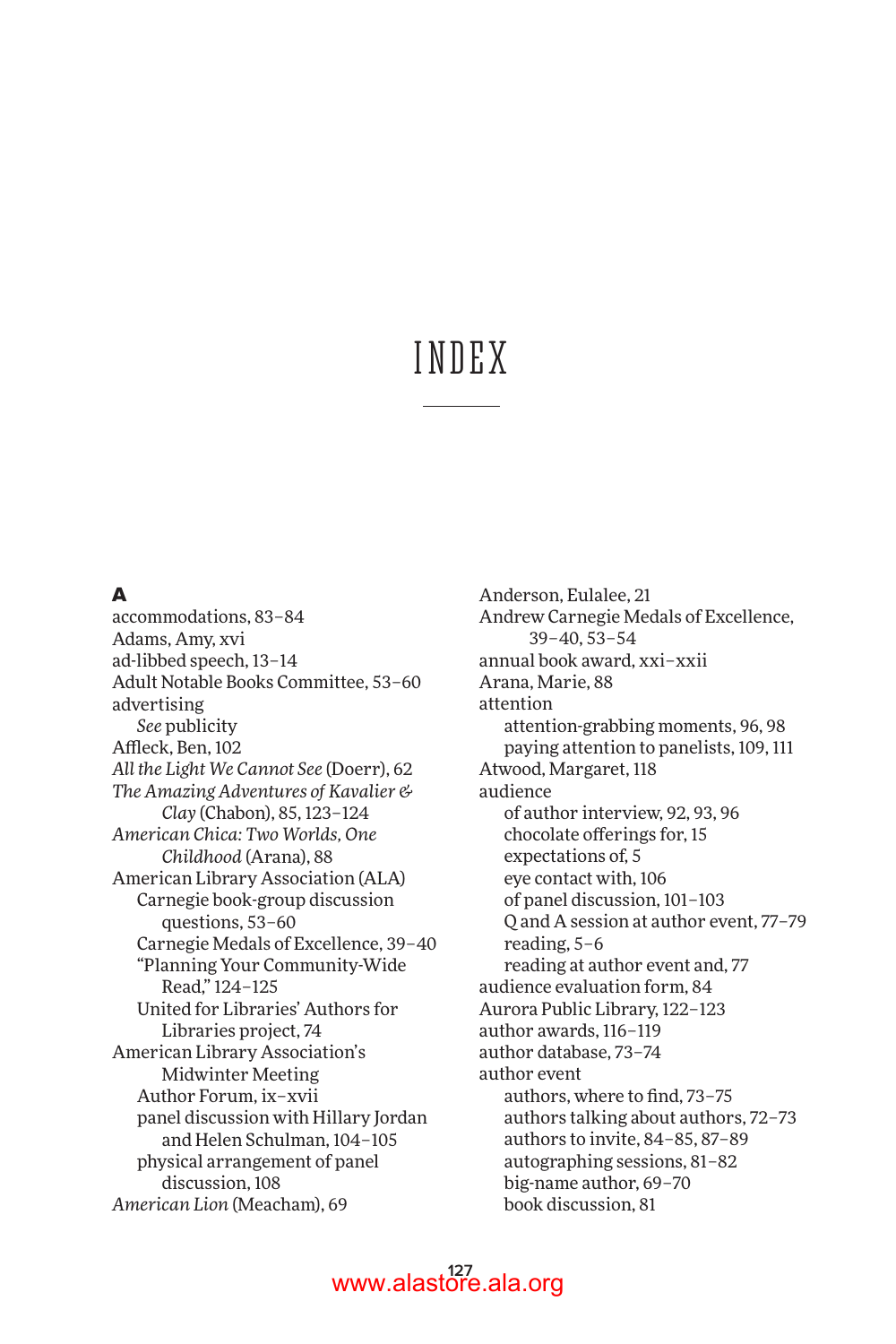# INDEX

#### A

accommodations, 83–84 Adams, Amy, xvi ad-libbed speech, 13–14 Adult Notable Books Committee, 53–60 advertising *See* publicity Affleck, Ben, 102 *All the Light We Cannot See* (Doerr), 62 *The Amazing Adventures of Kavalier & Clay* (Chabon), 85, 123–124 *American Chica: Two Worlds, One Childhood* (Arana), 88 American Library Association (ALA) Carnegie book-group discussion questions, 53–60 Carnegie Medals of Excellence, 39–40 "Planning Your Community-Wide Read," 124–125 United for Libraries' Authors for Libraries project, 74 American Library Association's Midwinter Meeting Author Forum, ix–xvii panel discussion with Hillary Jordan and Helen Schulman, 104–105 physical arrangement of panel discussion, 108 *American Lion* (Meacham), 69

Anderson, Eulalee, 21 Andrew Carnegie Medals of Excellence, 39–40, 53–54 annual book award, xxi–xxii Arana, Marie, 88 attention attention-grabbing moments, 96, 98 paying attention to panelists, 109, 111 Atwood, Margaret, 118 audience of author interview, 92, 93, 96 chocolate offerings for, 15 expectations of, 5 eye contact with, 106 of panel discussion, 101–103 Q and A session at author event, 77–79 reading, 5–6 reading at author event and, 77 audience evaluation form, 84 Aurora Public Library, 122–123 author awards, 116–119 author database, 73–74 author event authors, where to find, 73–75 authors talking about authors, 72–73 authors to invite, 84–85, 87–89 autographing sessions, 81–82 big-name author, 69–70 book discussion, 81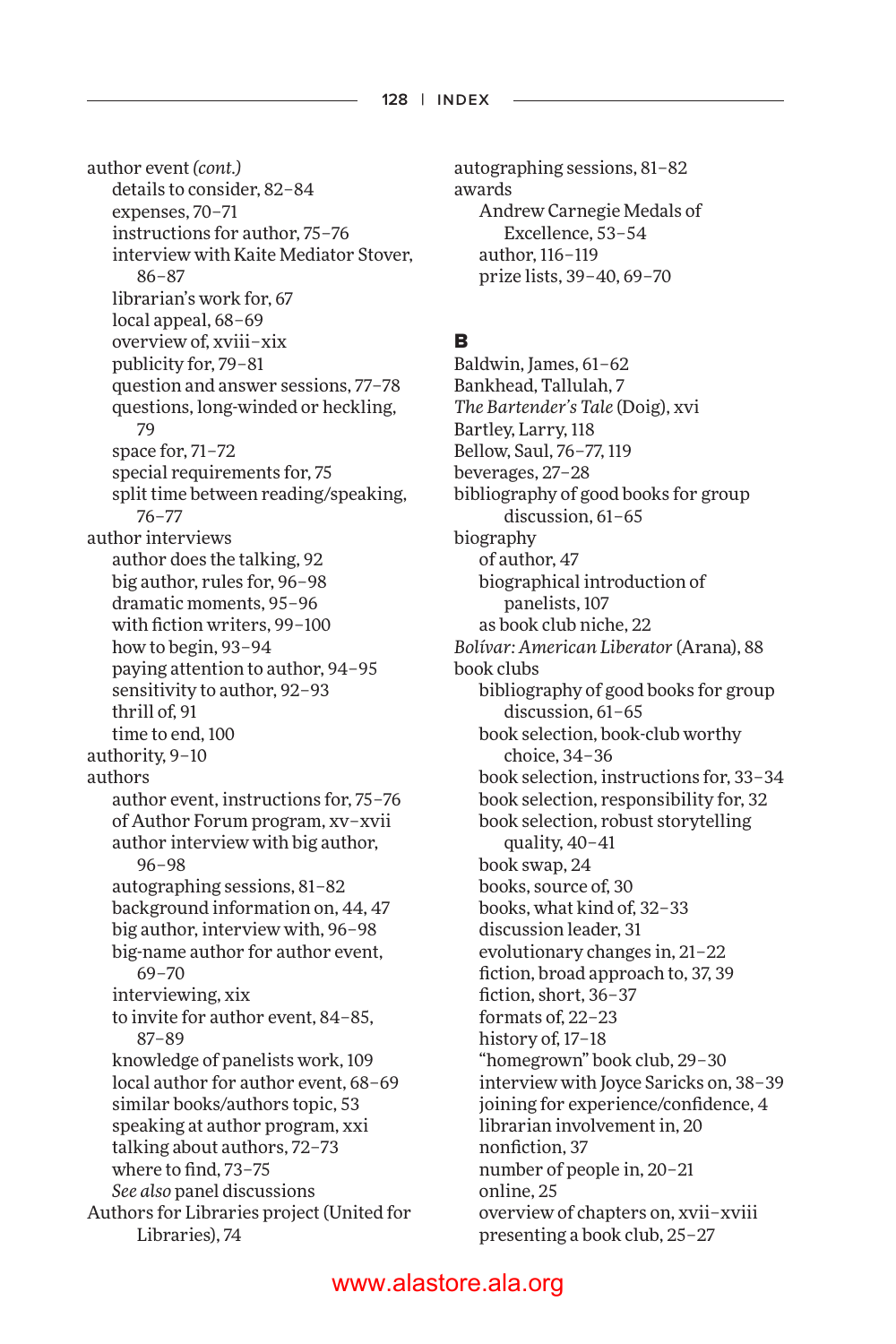**128 | index**

author event *(cont.)* details to consider, 82–84 expenses, 70–71 instructions for author, 75–76 interview with Kaite Mediator Stover, 86–87 librarian's work for, 67 local appeal, 68–69 overview of, xviii–xix publicity for, 79–81 question and answer sessions, 77–78 questions, long-winded or heckling, 79 space for, 71–72 special requirements for, 75 split time between reading/speaking, 76–77 author interviews author does the talking, 92 big author, rules for, 96–98 dramatic moments, 95–96 with fiction writers, 99–100 how to begin, 93–94 paying attention to author, 94–95 sensitivity to author, 92–93 thrill of, 91 time to end, 100 authority, 9–10 authors author event, instructions for, 75–76 of Author Forum program, xv–xvii author interview with big author, 96–98 autographing sessions, 81–82 background information on, 44, 47 big author, interview with, 96–98 big-name author for author event, 69–70 interviewing, xix to invite for author event, 84–85, 87–89 knowledge of panelists work, 109 local author for author event, 68–69 similar books/authors topic, 53 speaking at author program, xxi talking about authors, 72–73 where to find, 73–75 *See also* panel discussions Authors for Libraries project (United for Libraries), 74

autographing sessions, 81–82 awards Andrew Carnegie Medals of Excellence, 53–54 author, 116–119 prize lists, 39–40, 69–70

#### B

Baldwin, James, 61–62 Bankhead, Tallulah, 7 *The Bartender's Tale* (Doig), xvi Bartley, Larry, 118 Bellow, Saul, 76–77, 119 beverages, 27–28 bibliography of good books for group discussion, 61–65 biography of author, 47 biographical introduction of panelists, 107 as book club niche, 22 *Bolívar: American Liberator* (Arana), 88 book clubs bibliography of good books for group discussion, 61–65 book selection, book-club worthy choice, 34–36 book selection, instructions for, 33–34 book selection, responsibility for, 32 book selection, robust storytelling quality, 40–41 book swap, 24 books, source of, 30 books, what kind of, 32–33 discussion leader, 31 evolutionary changes in, 21–22 fiction, broad approach to, 37, 39 fiction, short, 36–37 formats of, 22–23 history of, 17–18 "homegrown" book club, 29–30 interview with Joyce Saricks on, 38–39 joining for experience/confidence, 4 librarian involvement in, 20 nonfiction, 37 number of people in, 20–21 online, 25 overview of chapters on, xvii–xviii presenting a book club, 25–27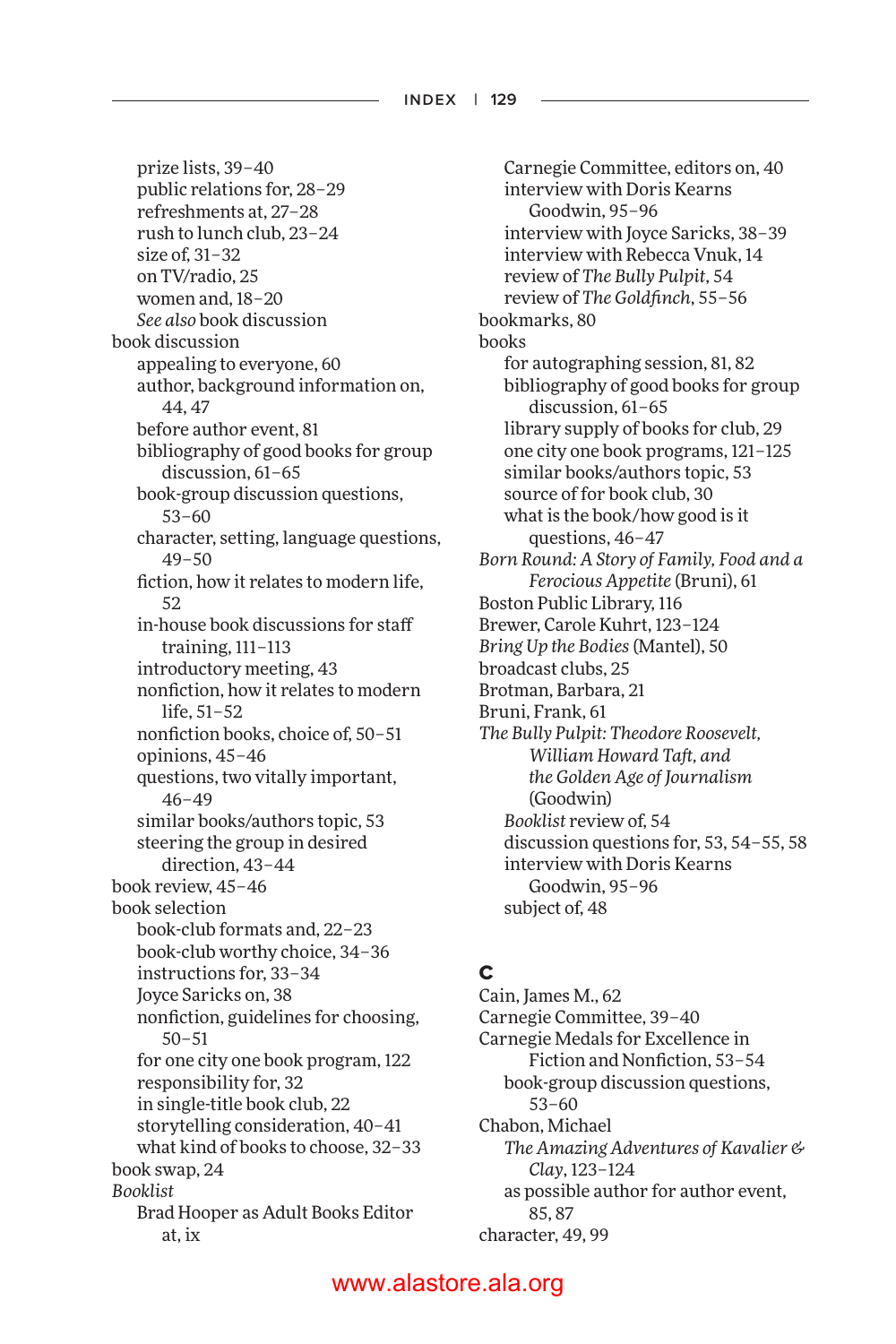**index | 129**

prize lists, 39–40 public relations for, 28–29 refreshments at, 27–28 rush to lunch club, 23–24 size of, 31–32 on TV/radio, 25 women and, 18–20 *See also* book discussion book discussion appealing to everyone, 60 author, background information on, 44, 47 before author event, 81 bibliography of good books for group discussion, 61–65 book-group discussion questions, 53–60 character, setting, language questions, 49–50 fiction, how it relates to modern life, 52 in-house book discussions for staff training, 111–113 introductory meeting, 43 nonfiction, how it relates to modern life, 51–52 nonfiction books, choice of, 50–51 opinions, 45–46 questions, two vitally important, 46–49 similar books/authors topic, 53 steering the group in desired direction, 43–44 book review, 45–46 book selection book-club formats and, 22–23 book-club worthy choice, 34–36 instructions for, 33–34 Joyce Saricks on, 38 nonfiction, guidelines for choosing, 50–51 for one city one book program, 122 responsibility for, 32 in single-title book club, 22 storytelling consideration, 40–41 what kind of books to choose, 32–33 book swap, 24 *Booklist* Brad Hooper as Adult Books Editor at, ix

Carnegie Committee, editors on, 40 interview with Doris Kearns Goodwin, 95–96 interview with Joyce Saricks, 38–39 interview with Rebecca Vnuk, 14 review of *The Bully Pulpit*, 54 review of *The Goldfinch*, 55–56 bookmarks, 80 books for autographing session, 81, 82 bibliography of good books for group discussion, 61–65 library supply of books for club, 29 one city one book programs, 121–125 similar books/authors topic, 53 source of for book club, 30 what is the book/how good is it questions, 46–47 *Born Round: A Story of Family, Food and a Ferocious Appetite* (Bruni), 61 Boston Public Library, 116 Brewer, Carole Kuhrt, 123–124 *Bring Up the Bodies* (Mantel), 50 broadcast clubs, 25 Brotman, Barbara, 21 Bruni, Frank, 61 *The Bully Pulpit: Theodore Roosevelt, William Howard Taft, and the Golden Age of Journalism* (Goodwin) *Booklist* review of, 54 discussion questions for, 53, 54–55, 58 interview with Doris Kearns Goodwin, 95–96 subject of, 48

# $\mathbf c$

Cain, James M., 62 Carnegie Committee, 39–40 Carnegie Medals for Excellence in Fiction and Nonfiction, 53–54 book-group discussion questions, 53–60 Chabon, Michael *The Amazing Adventures of Kavalier & Clay*, 123–124 as possible author for author event, 85, 87 character, 49, 99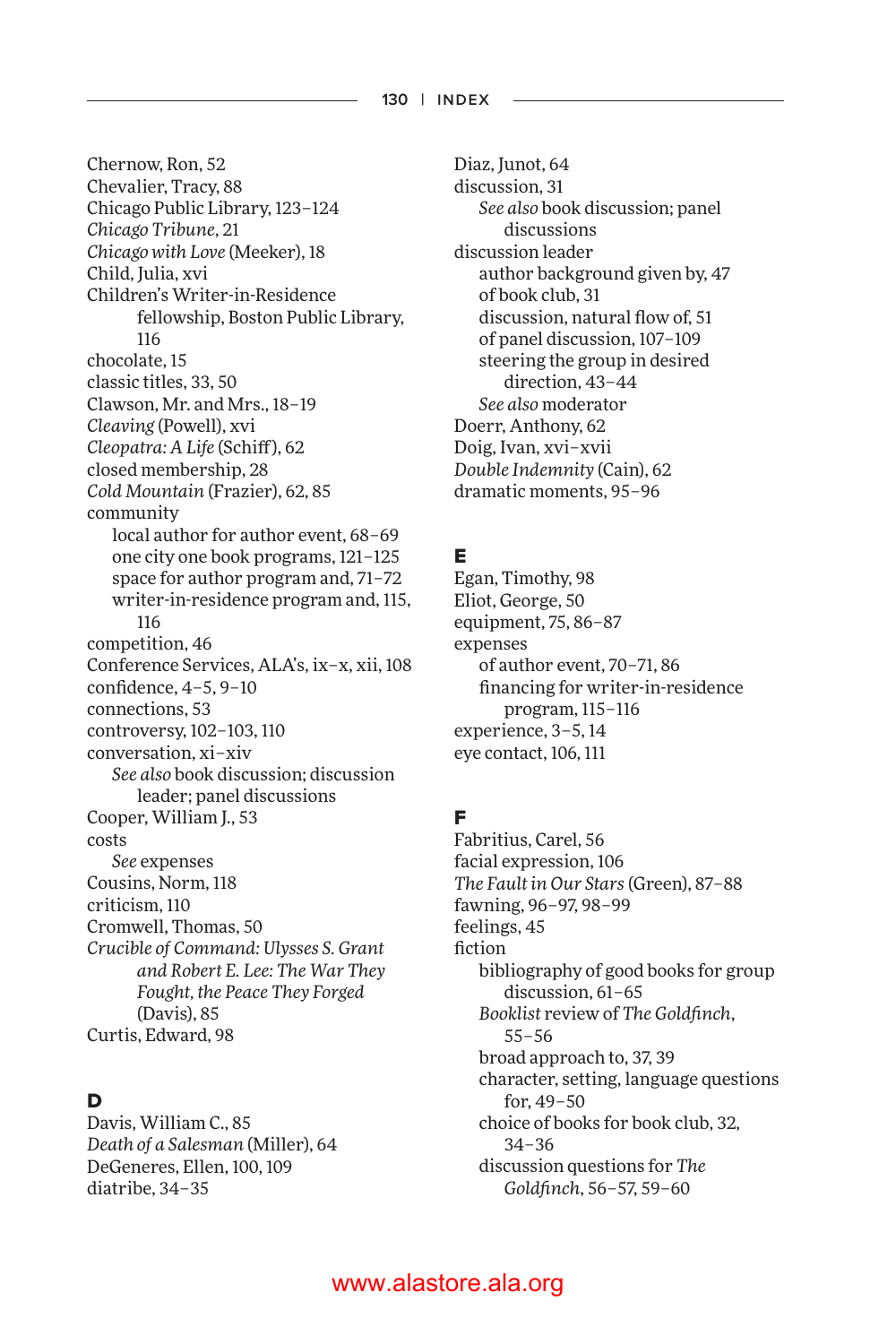**130 | index**

Chernow, Ron, 52 Chevalier, Tracy, 88 Chicago Public Library, 123–124 *Chicago Tribune*, 21 *Chicago with Love* (Meeker), 18 Child, Julia, xvi Children's Writer-in-Residence fellowship, Boston Public Library, 116 chocolate, 15 classic titles, 33, 50 Clawson, Mr. and Mrs., 18–19 *Cleaving* (Powell), xvi *Cleopatra: A Life* (Schiff ), 62 closed membership, 28 *Cold Mountain* (Frazier), 62, 85 community local author for author event, 68–69 one city one book programs, 121–125 space for author program and, 71–72 writer-in-residence program and, 115, 116 competition, 46 Conference Services, ALA's, ix–x, xii, 108 confidence, 4–5, 9–10 connections, 53 controversy, 102–103, 110 conversation, xi–xiv *See also* book discussion; discussion leader; panel discussions Cooper, William J., 53 costs *See* expenses Cousins, Norm, 118 criticism, 110 Cromwell, Thomas, 50 *Crucible of Command: Ulysses S. Grant and Robert E. Lee: The War They Fought, the Peace They Forged*  (Davis), 85 Curtis, Edward, 98

#### D

Davis, William C., 85 *Death of a Salesman* (Miller), 64 DeGeneres, Ellen, 100, 109 diatribe, 34–35

Diaz, Junot, 64 discussion, 31 *See also* book discussion; panel discussions discussion leader author background given by, 47 of book club, 31 discussion, natural flow of, 51 of panel discussion, 107–109 steering the group in desired direction, 43–44 *See also* moderator Doerr, Anthony, 62 Doig, Ivan, xvi–xvii *Double Indemnity* (Cain), 62 dramatic moments, 95–96

#### E

Egan, Timothy, 98 Eliot, George, 50 equipment, 75, 86–87 expenses of author event, 70–71, 86 financing for writer-in-residence program, 115–116 experience, 3–5, 14 eye contact, 106, 111

#### F

Fabritius, Carel, 56 facial expression, 106 *The Fault in Our Stars* (Green), 87–88 fawning, 96–97, 98–99 feelings, 45 fiction bibliography of good books for group discussion, 61–65 *Booklist* review of *The Goldfinch*, 55–56 broad approach to, 37, 39 character, setting, language questions for, 49–50 choice of books for book club, 32, 34–36 discussion questions for *The Goldfinch*, 56–57, 59–60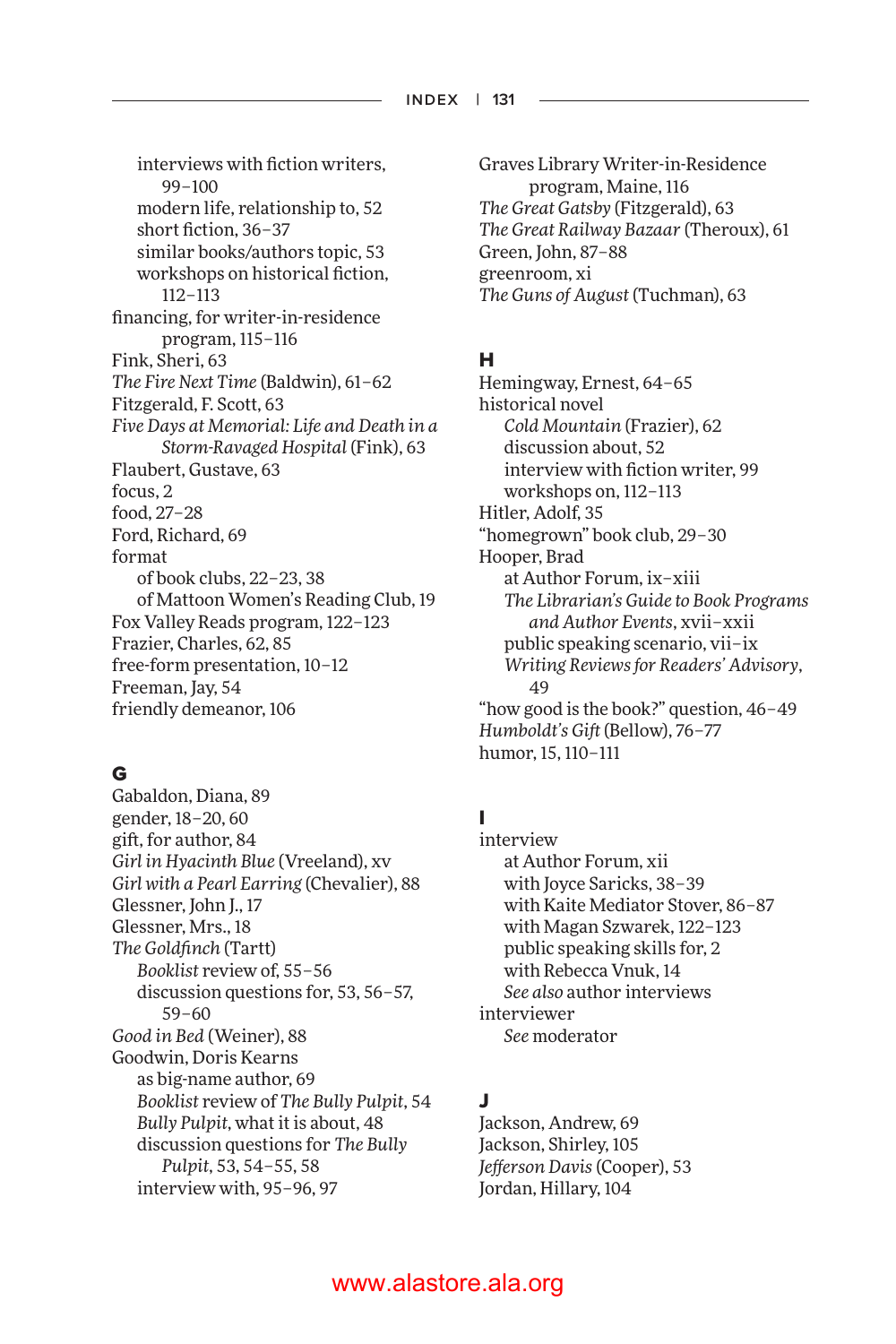interviews with fiction writers, 99–100 modern life, relationship to, 52 short fiction, 36–37 similar books/authors topic, 53 workshops on historical fiction, 112–113 financing, for writer-in-residence program, 115–116 Fink, Sheri, 63 *The Fire Next Time* (Baldwin), 61–62 Fitzgerald, F. Scott, 63 *Five Days at Memorial: Life and Death in a Storm-Ravaged Hospital* (Fink), 63 Flaubert, Gustave, 63 focus, 2 food, 27–28 Ford, Richard, 69 format of book clubs, 22–23, 38 of Mattoon Women's Reading Club, 19 Fox Valley Reads program, 122–123 Frazier, Charles, 62, 85 free-form presentation, 10–12 Freeman, Jay, 54 friendly demeanor, 106

#### G

Gabaldon, Diana, 89 gender, 18–20, 60 gift, for author, 84 *Girl in Hyacinth Blue* (Vreeland), xv *Girl with a Pearl Earring* (Chevalier), 88 Glessner, John J., 17 Glessner, Mrs., 18 *The Goldfinch* (Tartt) *Booklist* review of, 55–56 discussion questions for, 53, 56–57, 59–60 *Good in Bed* (Weiner), 88 Goodwin, Doris Kearns as big-name author, 69 *Booklist* review of *The Bully Pulpit*, 54 *Bully Pulpit*, what it is about, 48 discussion questions for *The Bully Pulpit*, 53, 54–55, 58 interview with, 95–96, 97

Graves Library Writer-in-Residence program, Maine, 116 *The Great Gatsby* (Fitzgerald), 63 *The Great Railway Bazaar* (Theroux), 61 Green, John, 87–88 greenroom, xi *The Guns of August* (Tuchman), 63

#### H

Hemingway, Ernest, 64–65 historical novel *Cold Mountain* (Frazier), 62 discussion about, 52 interview with fiction writer, 99 workshops on, 112–113 Hitler, Adolf, 35 "homegrown" book club, 29–30 Hooper, Brad at Author Forum, ix–xiii *The Librarian's Guide to Book Programs and Author Events*, xvii–xxii public speaking scenario, vii–ix *Writing Reviews for Readers' Advisory*, 49 "how good is the book?" question, 46–49 *Humboldt's Gift* (Bellow), 76–77 humor, 15, 110–111

#### I

interview at Author Forum, xii with Joyce Saricks, 38–39 with Kaite Mediator Stover, 86–87 with Magan Szwarek, 122–123 public speaking skills for, 2 with Rebecca Vnuk, 14 *See also* author interviews interviewer *See* moderator

#### J

Jackson, Andrew, 69 Jackson, Shirley, 105 *Jefferson Davis* (Cooper), 53 Jordan, Hillary, 104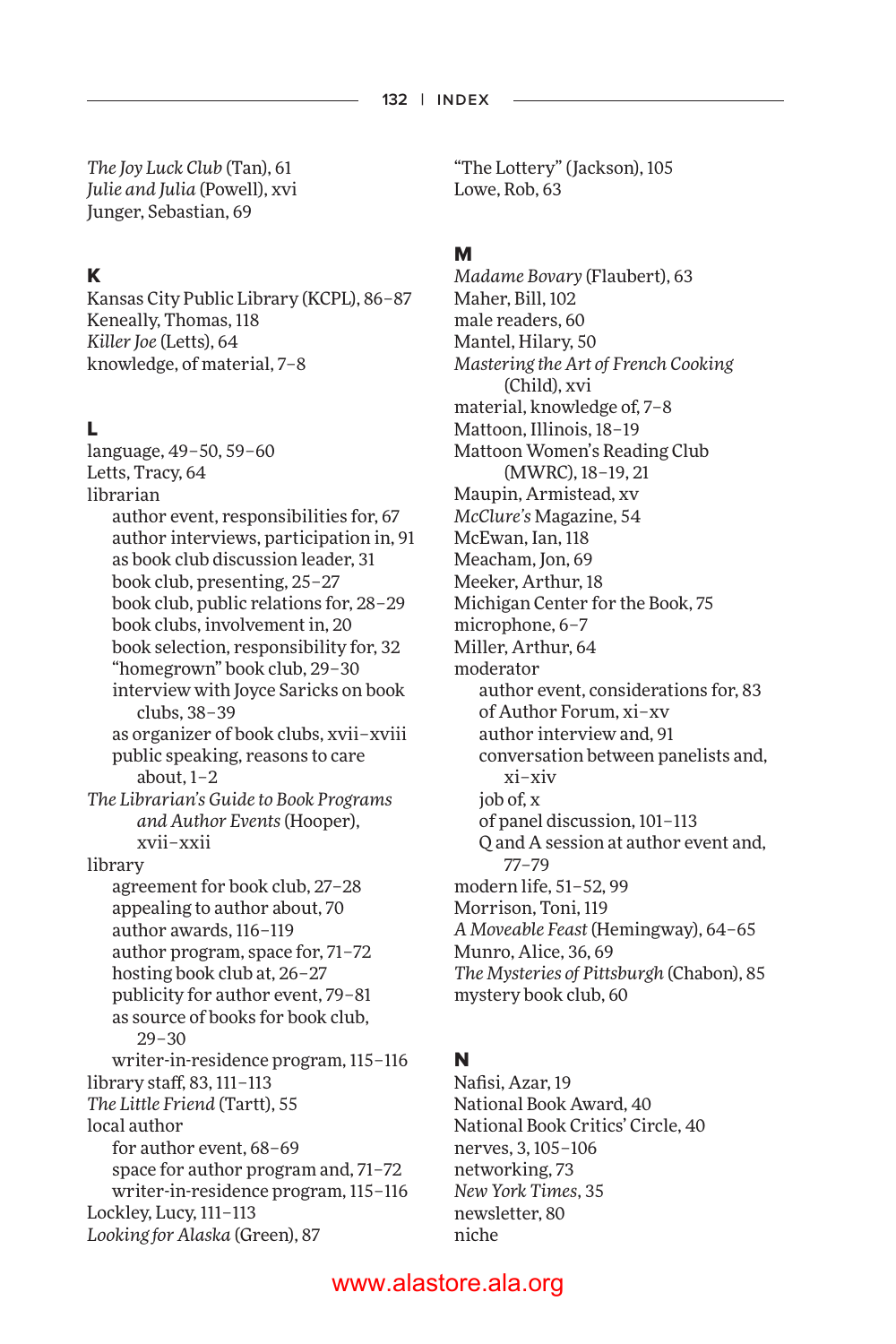*The Joy Luck Club* (Tan), 61 *Julie and Julia* (Powell), xvi Junger, Sebastian, 69

#### K

Kansas City Public Library (KCPL), 86–87 Keneally, Thomas, 118 *Killer Joe* (Letts), 64 knowledge, of material, 7–8

#### L

language, 49–50, 59–60 Letts, Tracy, 64 librarian author event, responsibilities for, 67 author interviews, participation in, 91 as book club discussion leader, 31 book club, presenting, 25–27 book club, public relations for, 28–29 book clubs, involvement in, 20 book selection, responsibility for, 32 "homegrown" book club, 29–30 interview with Joyce Saricks on book clubs, 38–39 as organizer of book clubs, xvii–xviii public speaking, reasons to care about, 1–2 *The Librarian's Guide to Book Programs and Author Events* (Hooper), xvii–xxii library agreement for book club, 27–28 appealing to author about, 70 author awards, 116–119 author program, space for, 71–72 hosting book club at, 26–27 publicity for author event, 79–81 as source of books for book club, 29–30 writer-in-residence program, 115–116 library staff, 83, 111–113 *The Little Friend* (Tartt), 55 local author for author event, 68–69 space for author program and, 71–72 writer-in-residence program, 115–116 Lockley, Lucy, 111–113 *Looking for Alaska* (Green), 87

"The Lottery" (Jackson), 105 Lowe, Rob, 63

#### M

*Madame Bovary* (Flaubert), 63 Maher, Bill, 102 male readers, 60 Mantel, Hilary, 50 *Mastering the Art of French Cooking* (Child), xvi material, knowledge of, 7–8 Mattoon, Illinois, 18–19 Mattoon Women's Reading Club (MWRC), 18–19, 21 Maupin, Armistead, xv *McClure's* Magazine, 54 McEwan, Ian, 118 Meacham, Jon, 69 Meeker, Arthur, 18 Michigan Center for the Book, 75 microphone, 6–7 Miller, Arthur, 64 moderator author event, considerations for, 83 of Author Forum, xi–xv author interview and, 91 conversation between panelists and, xi–xiv job of, x of panel discussion, 101–113 Q and A session at author event and, 77–79 modern life, 51–52, 99 Morrison, Toni, 119 *A Moveable Feast* (Hemingway), 64–65 Munro, Alice, 36, 69 *The Mysteries of Pittsburgh* (Chabon), 85 mystery book club, 60

#### N

Nafisi, Azar, 19 National Book Award, 40 National Book Critics' Circle, 40 nerves, 3, 105–106 networking, 73 *New York Times*, 35 newsletter, 80 niche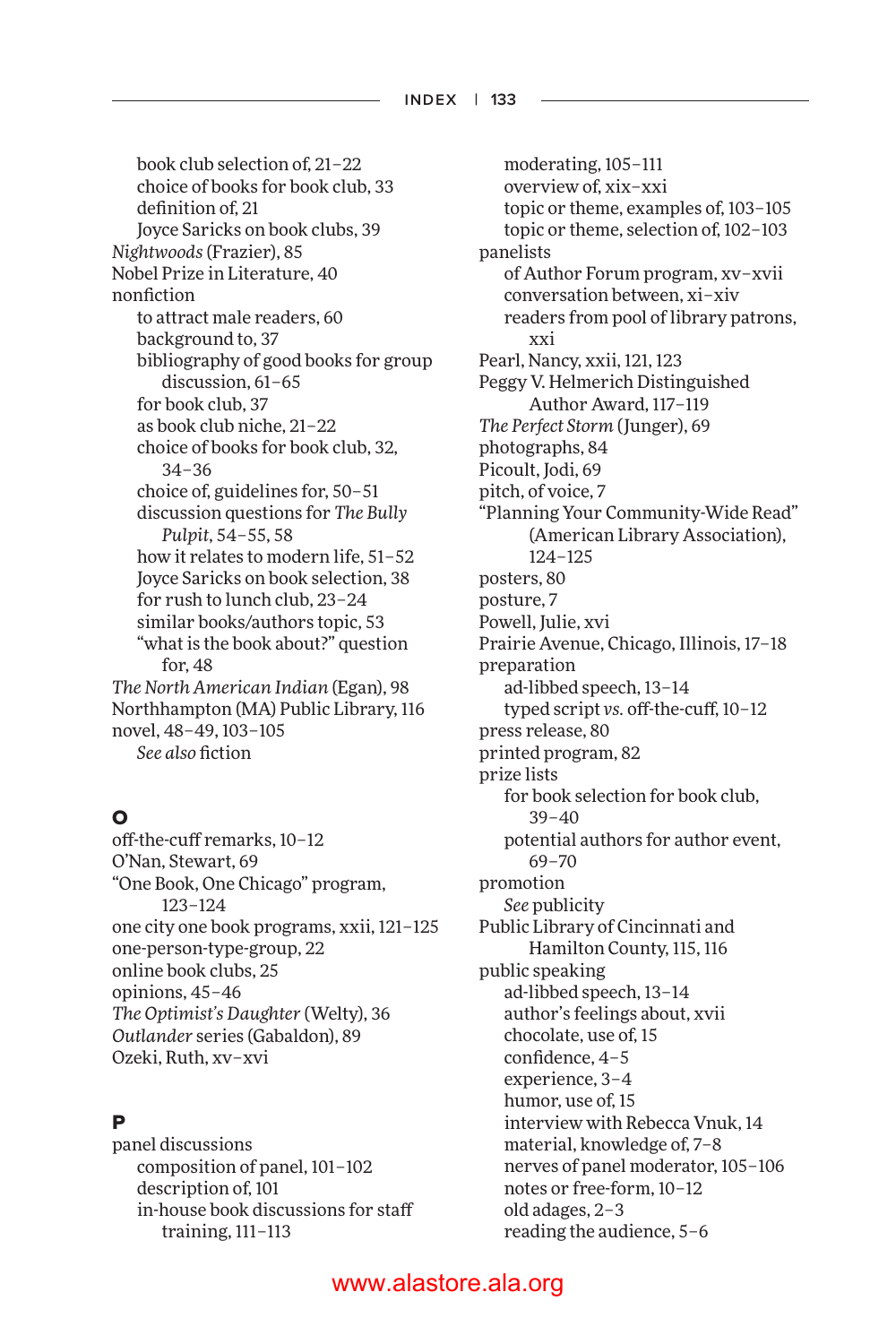**index | 133**

book club selection of, 21–22 choice of books for book club, 33 definition of, 21 Joyce Saricks on book clubs, 39 *Nightwoods* (Frazier), 85 Nobel Prize in Literature, 40 nonfiction to attract male readers, 60 background to, 37 bibliography of good books for group discussion, 61–65 for book club, 37 as book club niche, 21–22 choice of books for book club, 32, 34–36 choice of, guidelines for, 50–51 discussion questions for *The Bully Pulpit*, 54–55, 58 how it relates to modern life, 51–52 Joyce Saricks on book selection, 38 for rush to lunch club, 23–24 similar books/authors topic, 53 "what is the book about?" question for, 48 *The North American Indian* (Egan), 98 Northhampton (MA) Public Library, 116 novel, 48–49, 103–105 *See also* fiction

#### O

off-the-cuff remarks, 10–12 O'Nan, Stewart, 69 "One Book, One Chicago" program, 123–124 one city one book programs, xxii, 121–125 one-person-type-group, 22 online book clubs, 25 opinions, 45–46 *The Optimist's Daughter* (Welty), 36 *Outlander* series (Gabaldon), 89 Ozeki, Ruth, xv–xvi

#### P

panel discussions composition of panel, 101–102 description of, 101 in-house book discussions for staff training, 111–113

moderating, 105–111 overview of, xix–xxi topic or theme, examples of, 103–105 topic or theme, selection of, 102–103 panelists of Author Forum program, xv–xvii conversation between, xi–xiv readers from pool of library patrons, xxi Pearl, Nancy, xxii, 121, 123 Peggy V. Helmerich Distinguished Author Award, 117–119 *The Perfect Storm* (Junger), 69 photographs, 84 Picoult, Jodi, 69 pitch, of voice, 7 "Planning Your Community-Wide Read" (American Library Association), 124–125 posters, 80 posture, 7 Powell, Julie, xvi Prairie Avenue, Chicago, Illinois, 17–18 preparation ad-libbed speech, 13–14 typed script *vs.* off-the-cuff, 10–12 press release, 80 printed program, 82 prize lists for book selection for book club, 39–40 potential authors for author event, 69–70 promotion *See* publicity Public Library of Cincinnati and Hamilton County, 115, 116 public speaking ad-libbed speech, 13–14 author's feelings about, xvii chocolate, use of, 15 confidence, 4–5 experience, 3–4 humor, use of, 15 interview with Rebecca Vnuk, 14 material, knowledge of, 7–8 nerves of panel moderator, 105–106 notes or free-form, 10–12 old adages, 2–3 reading the audience, 5–6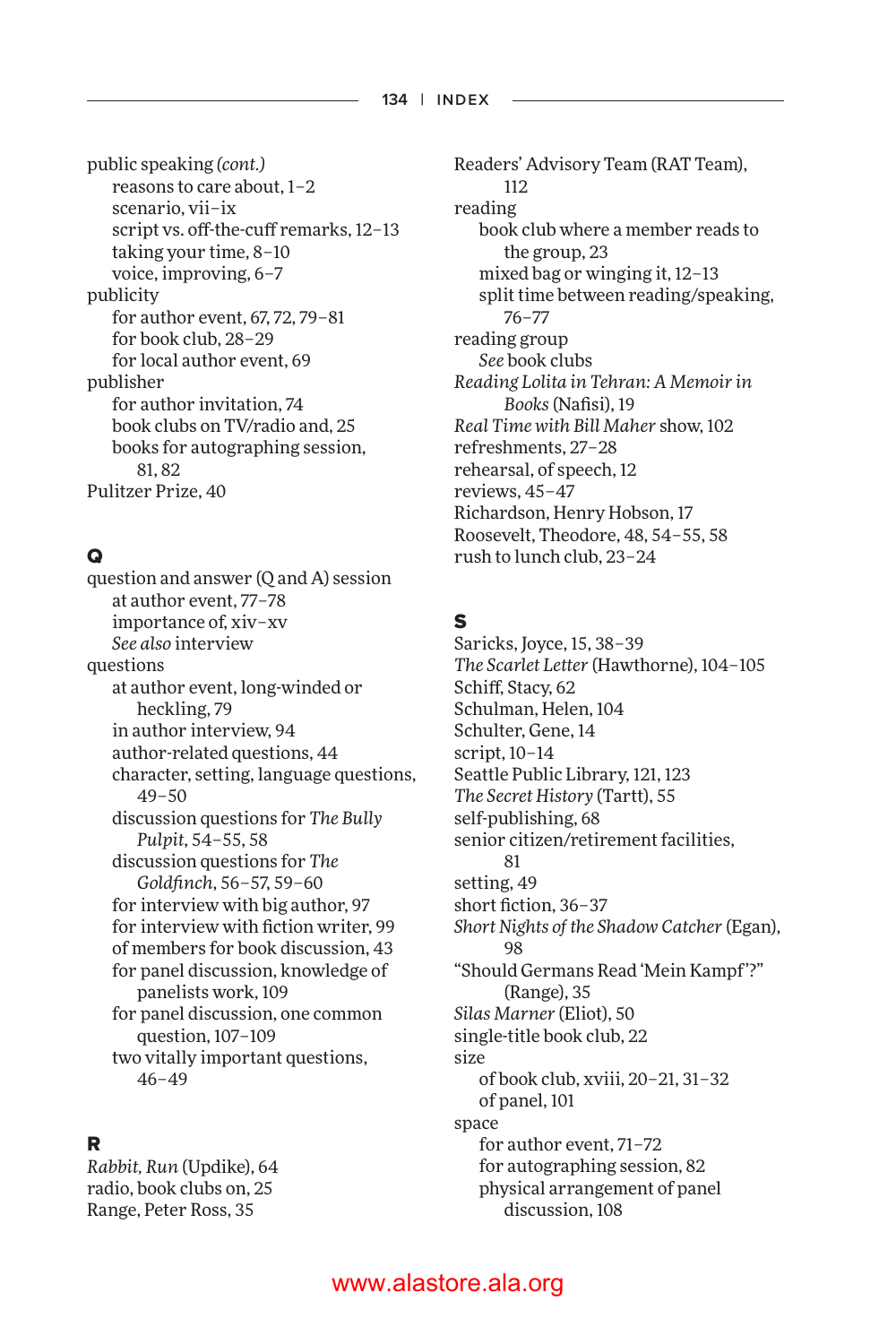**134 | index**

public speaking *(cont.)* reasons to care about, 1–2 scenario, vii–ix script vs. off-the-cuff remarks, 12–13 taking your time, 8–10 voice, improving, 6–7 publicity for author event, 67, 72, 79–81 for book club, 28–29 for local author event, 69 publisher for author invitation, 74 book clubs on TV/radio and, 25 books for autographing session, 81, 82 Pulitzer Prize, 40

#### Q

question and answer (Q and A) session at author event, 77–78 importance of, xiv–xv *See also* interview questions at author event, long-winded or heckling, 79 in author interview, 94 author-related questions, 44 character, setting, language questions, 49–50 discussion questions for *The Bully Pulpit*, 54–55, 58 discussion questions for *The Goldfinch*, 56–57, 59–60 for interview with big author, 97 for interview with fiction writer, 99 of members for book discussion, 43 for panel discussion, knowledge of panelists work, 109 for panel discussion, one common question, 107–109 two vitally important questions, 46–49

#### R

*Rabbit, Run* (Updike), 64 radio, book clubs on, 25 Range, Peter Ross, 35

Readers' Advisory Team (RAT Team), 112 reading book club where a member reads to the group, 23 mixed bag or winging it, 12–13 split time between reading/speaking, 76–77 reading group *See* book clubs *Reading Lolita in Tehran: A Memoir in Books* (Nafisi), 19 *Real Time with Bill Maher* show, 102 refreshments, 27–28 rehearsal, of speech, 12 reviews, 45–47 Richardson, Henry Hobson, 17 Roosevelt, Theodore, 48, 54–55, 58 rush to lunch club, 23–24

#### S

Saricks, Joyce, 15, 38–39 *The Scarlet Letter* (Hawthorne), 104–105 Schiff, Stacy, 62 Schulman, Helen, 104 Schulter, Gene, 14 script, 10–14 Seattle Public Library, 121, 123 *The Secret History* (Tartt), 55 self-publishing, 68 senior citizen/retirement facilities, 81 setting, 49 short fiction, 36–37 *Short Nights of the Shadow Catcher* (Egan), 98 "Should Germans Read 'Mein Kampf'?" (Range), 35 *Silas Marner* (Eliot), 50 single-title book club, 22 size of book club, xviii, 20–21, 31–32 of panel, 101 space for author event, 71–72 for autographing session, 82 physical arrangement of panel discussion, 108